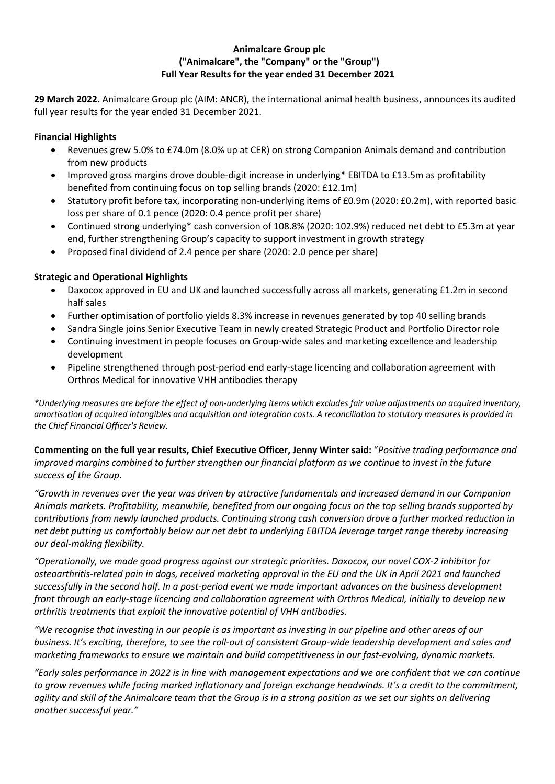## **Animalcare Group plc ("Animalcare", the "Company" or the "Group") Full Year Results for the year ended 31 December 2021**

**29 March 2022.** Animalcare Group plc (AIM: ANCR), the international animal health business, announces its audited full year results for the year ended 31 December 2021.

## **Financial Highlights**

- Revenues grew 5.0% to £74.0m (8.0% up at CER) on strong Companion Animals demand and contribution from new products
- Improved gross margins drove double-digit increase in underlying\* EBITDA to £13.5m as profitability benefited from continuing focus on top selling brands (2020: £12.1m)
- Statutory profit before tax, incorporating non-underlying items of £0.9m (2020: £0.2m), with reported basic loss per share of 0.1 pence (2020: 0.4 pence profit per share)
- Continued strong underlying\* cash conversion of 108.8% (2020: 102.9%) reduced net debt to £5.3m at year end, further strengthening Group's capacity to support investment in growth strategy
- Proposed final dividend of 2.4 pence per share (2020: 2.0 pence per share)

## **Strategic and Operational Highlights**

- Daxocox approved in EU and UK and launched successfully across all markets, generating £1.2m in second half sales
- Further optimisation of portfolio yields 8.3% increase in revenues generated by top 40 selling brands
- Sandra Single joins Senior Executive Team in newly created Strategic Product and Portfolio Director role
- Continuing investment in people focuses on Group-wide sales and marketing excellence and leadership development
- Pipeline strengthened through post-period end early-stage licencing and collaboration agreement with Orthros Medical for innovative VHH antibodies therapy

*\*Underlying measures are before the effect of non-underlying items which excludes fair value adjustments on acquired inventory, amortisation of acquired intangibles and acquisition and integration costs. A reconciliation to statutory measures is provided in the Chief Financial Officer's Review.*

**Commenting on the full year results, Chief Executive Officer, Jenny Winter said:** "*Positive trading performance and improved margins combined to further strengthen our financial platform as we continue to invest in the future success of the Group.* 

*"Growth in revenues over the year was driven by attractive fundamentals and increased demand in our Companion Animals markets. Profitability, meanwhile, benefited from our ongoing focus on the top selling brands supported by contributions from newly launched products. Continuing strong cash conversion drove a further marked reduction in net debt putting us comfortably below our net debt to underlying EBITDA leverage target range thereby increasing our deal-making flexibility.*

*"Operationally, we made good progress against our strategic priorities. Daxocox, our novel COX-2 inhibitor for osteoarthritis-related pain in dogs, received marketing approval in the EU and the UK in April 2021 and launched successfully in the second half. In a post-period event we made important advances on the business development front through an early-stage licencing and collaboration agreement with Orthros Medical, initially to develop new arthritis treatments that exploit the innovative potential of VHH antibodies.*

*"We recognise that investing in our people is as important as investing in our pipeline and other areas of our business. It's exciting, therefore, to see the roll-out of consistent Group-wide leadership development and sales and marketing frameworks to ensure we maintain and build competitiveness in our fast-evolving, dynamic markets.*

*"Early sales performance in 2022 is in line with management expectations and we are confident that we can continue to grow revenues while facing marked inflationary and foreign exchange headwinds. It's a credit to the commitment, agility and skill of the Animalcare team that the Group is in a strong position as we set our sights on delivering another successful year."*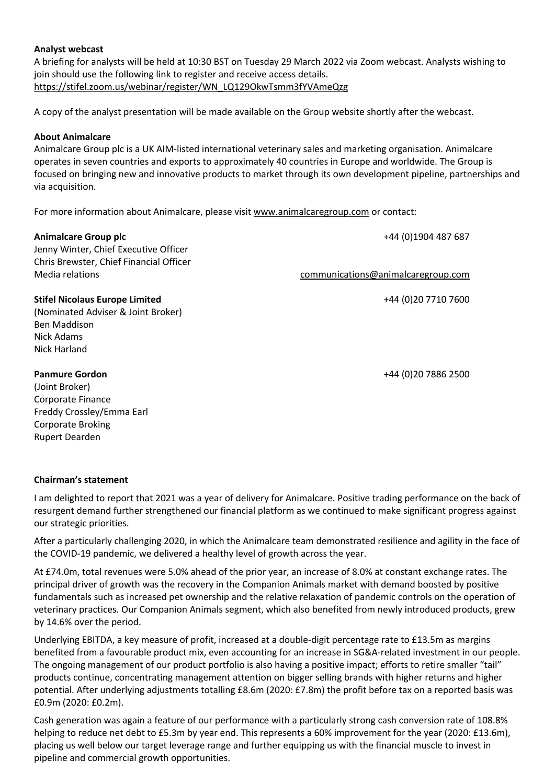## **Analyst webcast**

A briefing for analysts will be held at 10:30 BST on Tuesday 29 March 2022 via Zoom webcast. Analysts wishing to join should use the following link to register and receive access details. https://stifel.zoom.us/webinar/register/WN\_LQ129OkwTsmm3fYVAmeQzg

A copy of the analyst presentation will be made available on the Group website shortly after the webcast.

## **About Animalcare**

Animalcare Group plc is a UK AIM-listed international veterinary sales and marketing organisation. Animalcare operates in seven countries and exports to approximately 40 countries in Europe and worldwide. The Group is focused on bringing new and innovative products to market through its own development pipeline, partnerships and via acquisition.

For more information about Animalcare, please visit www.animalcaregroup.com or contact:

| <b>Animalcare Group plc</b><br>Jenny Winter, Chief Executive Officer<br>Chris Brewster, Chief Financial Officer                                | +44 (0)1904 487 687                |
|------------------------------------------------------------------------------------------------------------------------------------------------|------------------------------------|
| Media relations                                                                                                                                | communications@animalcaregroup.com |
| <b>Stifel Nicolaus Europe Limited</b><br>(Nominated Adviser & Joint Broker)<br>Ben Maddison<br>Nick Adams<br>Nick Harland                      | +44 (0) 20 7710 7600               |
| <b>Panmure Gordon</b><br>(Joint Broker)<br>Corporate Finance<br>Freddy Crossley/Emma Earl<br><b>Corporate Broking</b><br><b>Rupert Dearden</b> | +44 (0) 20 7886 2500               |

#### **Chairman's statement**

I am delighted to report that 2021 was a year of delivery for Animalcare. Positive trading performance on the back of resurgent demand further strengthened our financial platform as we continued to make significant progress against our strategic priorities.

After a particularly challenging 2020, in which the Animalcare team demonstrated resilience and agility in the face of the COVID-19 pandemic, we delivered a healthy level of growth across the year.

At £74.0m, total revenues were 5.0% ahead of the prior year, an increase of 8.0% at constant exchange rates. The principal driver of growth was the recovery in the Companion Animals market with demand boosted by positive fundamentals such as increased pet ownership and the relative relaxation of pandemic controls on the operation of veterinary practices. Our Companion Animals segment, which also benefited from newly introduced products, grew by 14.6% over the period.

Underlying EBITDA, a key measure of profit, increased at a double-digit percentage rate to £13.5m as margins benefited from a favourable product mix, even accounting for an increase in SG&A-related investment in our people. The ongoing management of our product portfolio is also having a positive impact; efforts to retire smaller "tail" products continue, concentrating management attention on bigger selling brands with higher returns and higher potential. After underlying adjustments totalling £8.6m (2020: £7.8m) the profit before tax on a reported basis was £0.9m (2020: £0.2m).

Cash generation was again a feature of our performance with a particularly strong cash conversion rate of 108.8% helping to reduce net debt to £5.3m by year end. This represents a 60% improvement for the year (2020: £13.6m), placing us well below our target leverage range and further equipping us with the financial muscle to invest in pipeline and commercial growth opportunities.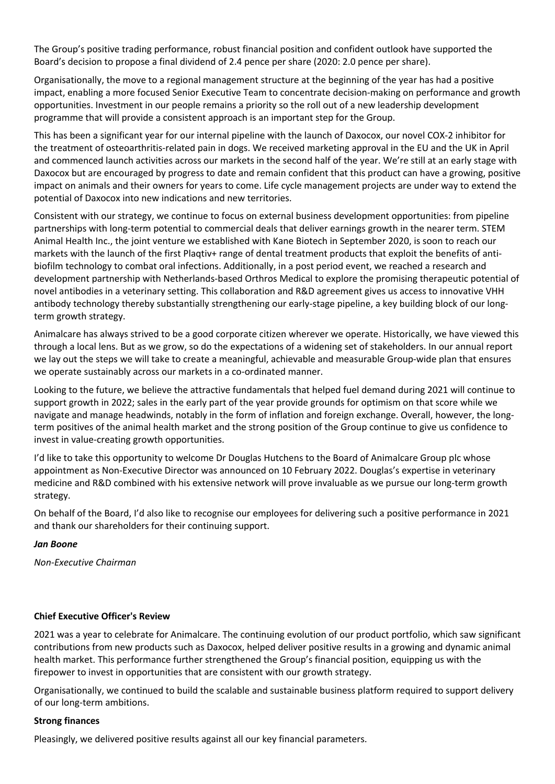The Group's positive trading performance, robust financial position and confident outlook have supported the Board's decision to propose a final dividend of 2.4 pence per share (2020: 2.0 pence per share).

Organisationally, the move to a regional management structure at the beginning of the year has had a positive impact, enabling a more focused Senior Executive Team to concentrate decision-making on performance and growth opportunities. Investment in our people remains a priority so the roll out of a new leadership development programme that will provide a consistent approach is an important step for the Group.

This has been a significant year for our internal pipeline with the launch of Daxocox, our novel COX-2 inhibitor for the treatment of osteoarthritis-related pain in dogs. We received marketing approval in the EU and the UK in April and commenced launch activities across our markets in the second half of the year. We're still at an early stage with Daxocox but are encouraged by progress to date and remain confident that this product can have a growing, positive impact on animals and their owners for years to come. Life cycle management projects are under way to extend the potential of Daxocox into new indications and new territories.

Consistent with our strategy, we continue to focus on external business development opportunities: from pipeline partnerships with long-term potential to commercial deals that deliver earnings growth in the nearer term. STEM Animal Health Inc., the joint venture we established with Kane Biotech in September 2020, is soon to reach our markets with the launch of the first Plaqtiv+ range of dental treatment products that exploit the benefits of antibiofilm technology to combat oral infections. Additionally, in a post period event, we reached a research and development partnership with Netherlands-based Orthros Medical to explore the promising therapeutic potential of novel antibodies in a veterinary setting. This collaboration and R&D agreement gives us access to innovative VHH antibody technology thereby substantially strengthening our early-stage pipeline, a key building block of our longterm growth strategy.

Animalcare has always strived to be a good corporate citizen wherever we operate. Historically, we have viewed this through a local lens. But as we grow, so do the expectations of a widening set of stakeholders. In our annual report we lay out the steps we will take to create a meaningful, achievable and measurable Group-wide plan that ensures we operate sustainably across our markets in a co-ordinated manner.

Looking to the future, we believe the attractive fundamentals that helped fuel demand during 2021 will continue to support growth in 2022; sales in the early part of the year provide grounds for optimism on that score while we navigate and manage headwinds, notably in the form of inflation and foreign exchange. Overall, however, the longterm positives of the animal health market and the strong position of the Group continue to give us confidence to invest in value-creating growth opportunities.

I'd like to take this opportunity to welcome Dr Douglas Hutchens to the Board of Animalcare Group plc whose appointment as Non-Executive Director was announced on 10 February 2022. Douglas's expertise in veterinary medicine and R&D combined with his extensive network will prove invaluable as we pursue our long-term growth strategy.

On behalf of the Board, I'd also like to recognise our employees for delivering such a positive performance in 2021 and thank our shareholders for their continuing support.

#### *Jan Boone*

*Non-Executive Chairman*

## **Chief Executive Officer's Review**

2021 was a year to celebrate for Animalcare. The continuing evolution of our product portfolio, which saw significant contributions from new products such as Daxocox, helped deliver positive results in a growing and dynamic animal health market. This performance further strengthened the Group's financial position, equipping us with the firepower to invest in opportunities that are consistent with our growth strategy.

Organisationally, we continued to build the scalable and sustainable business platform required to support delivery of our long-term ambitions.

#### **Strong finances**

Pleasingly, we delivered positive results against all our key financial parameters.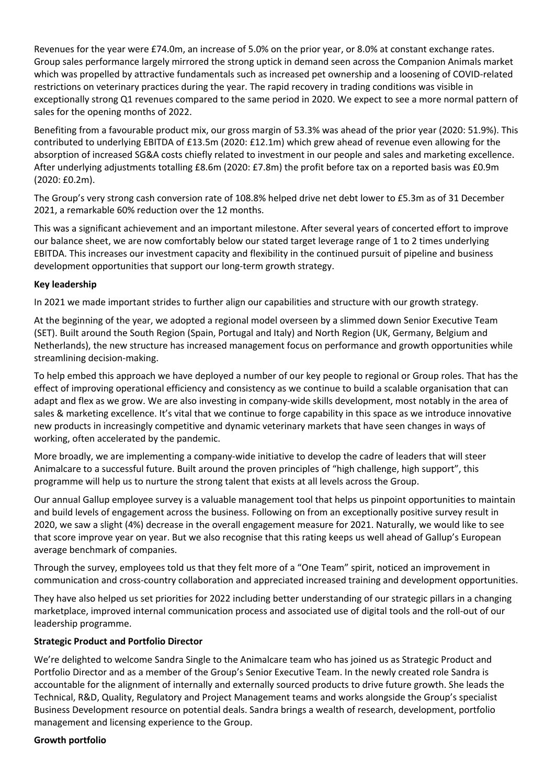Revenues for the year were £74.0m, an increase of 5.0% on the prior year, or 8.0% at constant exchange rates. Group sales performance largely mirrored the strong uptick in demand seen across the Companion Animals market which was propelled by attractive fundamentals such as increased pet ownership and a loosening of COVID-related restrictions on veterinary practices during the year. The rapid recovery in trading conditions was visible in exceptionally strong Q1 revenues compared to the same period in 2020. We expect to see a more normal pattern of sales for the opening months of 2022.

Benefiting from a favourable product mix, our gross margin of 53.3% was ahead of the prior year (2020: 51.9%). This contributed to underlying EBITDA of £13.5m (2020: £12.1m) which grew ahead of revenue even allowing for the absorption of increased SG&A costs chiefly related to investment in our people and sales and marketing excellence. After underlying adjustments totalling £8.6m (2020: £7.8m) the profit before tax on a reported basis was £0.9m (2020: £0.2m).

The Group's very strong cash conversion rate of 108.8% helped drive net debt lower to £5.3m as of 31 December 2021, a remarkable 60% reduction over the 12 months.

This was a significant achievement and an important milestone. After several years of concerted effort to improve our balance sheet, we are now comfortably below our stated target leverage range of 1 to 2 times underlying EBITDA. This increases our investment capacity and flexibility in the continued pursuit of pipeline and business development opportunities that support our long-term growth strategy.

## **Key leadership**

In 2021 we made important strides to further align our capabilities and structure with our growth strategy.

At the beginning of the year, we adopted a regional model overseen by a slimmed down Senior Executive Team (SET). Built around the South Region (Spain, Portugal and Italy) and North Region (UK, Germany, Belgium and Netherlands), the new structure has increased management focus on performance and growth opportunities while streamlining decision-making.

To help embed this approach we have deployed a number of our key people to regional or Group roles. That has the effect of improving operational efficiency and consistency as we continue to build a scalable organisation that can adapt and flex as we grow. We are also investing in company-wide skills development, most notably in the area of sales & marketing excellence. It's vital that we continue to forge capability in this space as we introduce innovative new products in increasingly competitive and dynamic veterinary markets that have seen changes in ways of working, often accelerated by the pandemic.

More broadly, we are implementing a company-wide initiative to develop the cadre of leaders that will steer Animalcare to a successful future. Built around the proven principles of "high challenge, high support", this programme will help us to nurture the strong talent that exists at all levels across the Group.

Our annual Gallup employee survey is a valuable management tool that helps us pinpoint opportunities to maintain and build levels of engagement across the business. Following on from an exceptionally positive survey result in 2020, we saw a slight (4%) decrease in the overall engagement measure for 2021. Naturally, we would like to see that score improve year on year. But we also recognise that this rating keeps us well ahead of Gallup's European average benchmark of companies.

Through the survey, employees told us that they felt more of a "One Team" spirit, noticed an improvement in communication and cross-country collaboration and appreciated increased training and development opportunities.

They have also helped us set priorities for 2022 including better understanding of our strategic pillars in a changing marketplace, improved internal communication process and associated use of digital tools and the roll-out of our leadership programme.

#### **Strategic Product and Portfolio Director**

We're delighted to welcome Sandra Single to the Animalcare team who has joined us as Strategic Product and Portfolio Director and as a member of the Group's Senior Executive Team. In the newly created role Sandra is accountable for the alignment of internally and externally sourced products to drive future growth. She leads the Technical, R&D, Quality, Regulatory and Project Management teams and works alongside the Group's specialist Business Development resource on potential deals. Sandra brings a wealth of research, development, portfolio management and licensing experience to the Group.

#### **Growth portfolio**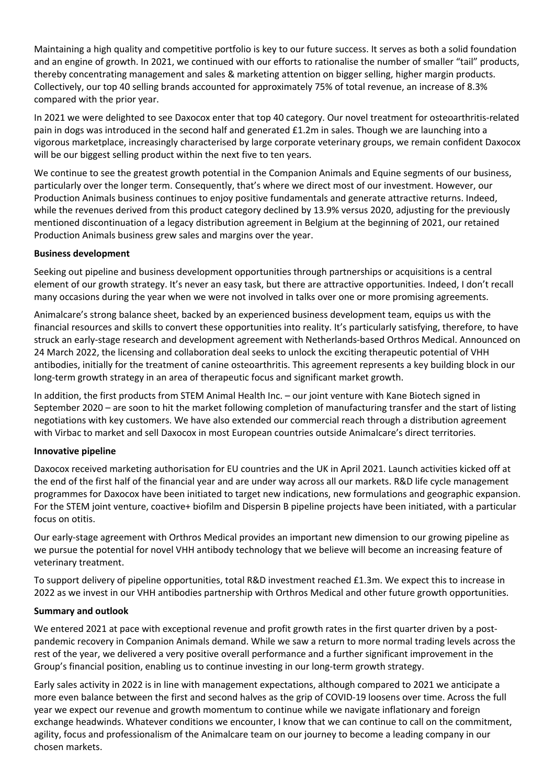Maintaining a high quality and competitive portfolio is key to our future success. It serves as both a solid foundation and an engine of growth. In 2021, we continued with our efforts to rationalise the number of smaller "tail" products, thereby concentrating management and sales & marketing attention on bigger selling, higher margin products. Collectively, our top 40 selling brands accounted for approximately 75% of total revenue, an increase of 8.3% compared with the prior year.

In 2021 we were delighted to see Daxocox enter that top 40 category. Our novel treatment for osteoarthritis-related pain in dogs was introduced in the second half and generated £1.2m in sales. Though we are launching into a vigorous marketplace, increasingly characterised by large corporate veterinary groups, we remain confident Daxocox will be our biggest selling product within the next five to ten years.

We continue to see the greatest growth potential in the Companion Animals and Equine segments of our business, particularly over the longer term. Consequently, that's where we direct most of our investment. However, our Production Animals business continues to enjoy positive fundamentals and generate attractive returns. Indeed, while the revenues derived from this product category declined by 13.9% versus 2020, adjusting for the previously mentioned discontinuation of a legacy distribution agreement in Belgium at the beginning of 2021, our retained Production Animals business grew sales and margins over the year.

## **Business development**

Seeking out pipeline and business development opportunities through partnerships or acquisitions is a central element of our growth strategy. It's never an easy task, but there are attractive opportunities. Indeed, I don't recall many occasions during the year when we were not involved in talks over one or more promising agreements.

Animalcare's strong balance sheet, backed by an experienced business development team, equips us with the financial resources and skills to convert these opportunities into reality. It's particularly satisfying, therefore, to have struck an early-stage research and development agreement with Netherlands-based Orthros Medical. Announced on 24 March 2022, the licensing and collaboration deal seeks to unlock the exciting therapeutic potential of VHH antibodies, initially for the treatment of canine osteoarthritis. This agreement represents a key building block in our long-term growth strategy in an area of therapeutic focus and significant market growth.

In addition, the first products from STEM Animal Health Inc. – our joint venture with Kane Biotech signed in September 2020 – are soon to hit the market following completion of manufacturing transfer and the start of listing negotiations with key customers. We have also extended our commercial reach through a distribution agreement with Virbac to market and sell Daxocox in most European countries outside Animalcare's direct territories.

#### **Innovative pipeline**

Daxocox received marketing authorisation for EU countries and the UK in April 2021. Launch activities kicked off at the end of the first half of the financial year and are under way across all our markets. R&D life cycle management programmes for Daxocox have been initiated to target new indications, new formulations and geographic expansion. For the STEM joint venture, coactive+ biofilm and Dispersin B pipeline projects have been initiated, with a particular focus on otitis.

Our early-stage agreement with Orthros Medical provides an important new dimension to our growing pipeline as we pursue the potential for novel VHH antibody technology that we believe will become an increasing feature of veterinary treatment.

To support delivery of pipeline opportunities, total R&D investment reached £1.3m. We expect this to increase in 2022 as we invest in our VHH antibodies partnership with Orthros Medical and other future growth opportunities.

#### **Summary and outlook**

We entered 2021 at pace with exceptional revenue and profit growth rates in the first quarter driven by a postpandemic recovery in Companion Animals demand. While we saw a return to more normal trading levels across the rest of the year, we delivered a very positive overall performance and a further significant improvement in the Group's financial position, enabling us to continue investing in our long-term growth strategy.

Early sales activity in 2022 is in line with management expectations, although compared to 2021 we anticipate a more even balance between the first and second halves as the grip of COVID-19 loosens over time. Across the full year we expect our revenue and growth momentum to continue while we navigate inflationary and foreign exchange headwinds. Whatever conditions we encounter, I know that we can continue to call on the commitment, agility, focus and professionalism of the Animalcare team on our journey to become a leading company in our chosen markets.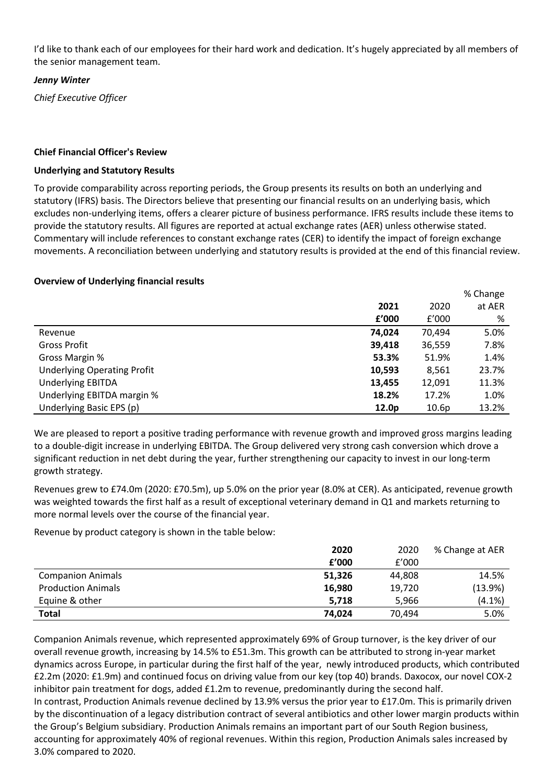I'd like to thank each of our employees for their hard work and dedication. It's hugely appreciated by all members of the senior management team.

## *Jenny Winter*

*Chief Executive Officer*

## **Chief Financial Officer's Review**

#### **Underlying and Statutory Results**

To provide comparability across reporting periods, the Group presents its results on both an underlying and statutory (IFRS) basis. The Directors believe that presenting our financial results on an underlying basis, which excludes non-underlying items, offers a clearer picture of business performance. IFRS results include these items to provide the statutory results. All figures are reported at actual exchange rates (AER) unless otherwise stated. Commentary will include references to constant exchange rates (CER) to identify the impact of foreign exchange movements. A reconciliation between underlying and statutory results is provided at the end of this financial review.

## **Overview of Underlying financial results**

|                                    |        |        | % Change |
|------------------------------------|--------|--------|----------|
|                                    | 2021   | 2020   | at AER   |
|                                    | f'000  | f'000  | %        |
| Revenue                            | 74.024 | 70.494 | 5.0%     |
| <b>Gross Profit</b>                | 39,418 | 36,559 | 7.8%     |
| Gross Margin %                     | 53.3%  | 51.9%  | 1.4%     |
| <b>Underlying Operating Profit</b> | 10,593 | 8,561  | 23.7%    |
| <b>Underlying EBITDA</b>           | 13,455 | 12,091 | 11.3%    |
| Underlying EBITDA margin %         | 18.2%  | 17.2%  | 1.0%     |
| Underlying Basic EPS (p)           | 12.0p  | 10.6p  | 13.2%    |

We are pleased to report a positive trading performance with revenue growth and improved gross margins leading to a double-digit increase in underlying EBITDA. The Group delivered very strong cash conversion which drove a significant reduction in net debt during the year, further strengthening our capacity to invest in our long-term growth strategy.

Revenues grew to £74.0m (2020: £70.5m), up 5.0% on the prior year (8.0% at CER). As anticipated, revenue growth was weighted towards the first half as a result of exceptional veterinary demand in Q1 and markets returning to more normal levels over the course of the financial year.

Revenue by product category is shown in the table below:

|                           | 2020   | 2020   | % Change at AER |
|---------------------------|--------|--------|-----------------|
|                           | f'000  | f'000  |                 |
| <b>Companion Animals</b>  | 51,326 | 44,808 | 14.5%           |
| <b>Production Animals</b> | 16,980 | 19,720 | (13.9%)         |
| Equine & other            | 5.718  | 5.966  | $(4.1\%)$       |
| <b>Total</b>              | 74,024 | 70.494 | 5.0%            |

Companion Animals revenue, which represented approximately 69% of Group turnover, is the key driver of our overall revenue growth, increasing by 14.5% to £51.3m. This growth can be attributed to strong in-year market dynamics across Europe, in particular during the first half of the year, newly introduced products, which contributed £2.2m (2020: £1.9m) and continued focus on driving value from our key (top 40) brands. Daxocox, our novel COX-2 inhibitor pain treatment for dogs, added £1.2m to revenue, predominantly during the second half.

In contrast, Production Animals revenue declined by 13.9% versus the prior year to £17.0m. This is primarily driven by the discontinuation of a legacy distribution contract of several antibiotics and other lower margin products within the Group's Belgium subsidiary. Production Animals remains an important part of our South Region business, accounting for approximately 40% of regional revenues. Within this region, Production Animals sales increased by 3.0% compared to 2020.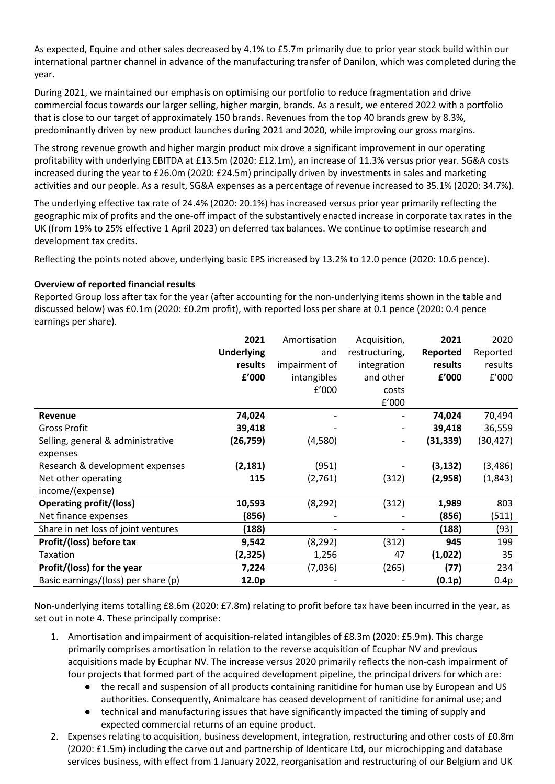As expected, Equine and other sales decreased by 4.1% to £5.7m primarily due to prior year stock build within our international partner channel in advance of the manufacturing transfer of Danilon, which was completed during the year.

During 2021, we maintained our emphasis on optimising our portfolio to reduce fragmentation and drive commercial focus towards our larger selling, higher margin, brands. As a result, we entered 2022 with a portfolio that is close to our target of approximately 150 brands. Revenues from the top 40 brands grew by 8.3%, predominantly driven by new product launches during 2021 and 2020, while improving our gross margins.

The strong revenue growth and higher margin product mix drove a significant improvement in our operating profitability with underlying EBITDA at £13.5m (2020: £12.1m), an increase of 11.3% versus prior year. SG&A costs increased during the year to £26.0m (2020: £24.5m) principally driven by investments in sales and marketing activities and our people. As a result, SG&A expenses as a percentage of revenue increased to 35.1% (2020: 34.7%).

The underlying effective tax rate of 24.4% (2020: 20.1%) has increased versus prior year primarily reflecting the geographic mix of profits and the one-off impact of the substantively enacted increase in corporate tax rates in the UK (from 19% to 25% effective 1 April 2023) on deferred tax balances. We continue to optimise research and development tax credits.

Reflecting the points noted above, underlying basic EPS increased by 13.2% to 12.0 pence (2020: 10.6 pence).

## **Overview of reported financial results**

Reported Group loss after tax for the year (after accounting for the non-underlying items shown in the table and discussed below) was £0.1m (2020: £0.2m profit), with reported loss per share at 0.1 pence (2020: 0.4 pence earnings per share).

|                                     | 2021              | Amortisation  | Acquisition,   | 2021      | 2020      |
|-------------------------------------|-------------------|---------------|----------------|-----------|-----------|
|                                     | <b>Underlying</b> | and           | restructuring, | Reported  | Reported  |
|                                     | results           | impairment of | integration    | results   | results   |
|                                     | f'000             | intangibles   | and other      | f'000     | f'000     |
|                                     |                   | f'000         | costs          |           |           |
|                                     |                   |               | f'000          |           |           |
| <b>Revenue</b>                      | 74,024            |               |                | 74,024    | 70,494    |
| <b>Gross Profit</b>                 | 39,418            |               |                | 39,418    | 36,559    |
| Selling, general & administrative   | (26, 759)         | (4,580)       |                | (31, 339) | (30, 427) |
| expenses                            |                   |               |                |           |           |
| Research & development expenses     | (2, 181)          | (951)         |                | (3, 132)  | (3, 486)  |
| Net other operating                 | 115               | (2,761)       | (312)          | (2,958)   | (1,843)   |
| income/(expense)                    |                   |               |                |           |           |
| <b>Operating profit/(loss)</b>      | 10,593            | (8, 292)      | (312)          | 1,989     | 803       |
| Net finance expenses                | (856)             |               |                | (856)     | (511)     |
| Share in net loss of joint ventures | (188)             |               |                | (188)     | (93)      |
| Profit/(loss) before tax            | 9,542             | (8, 292)      | (312)          | 945       | 199       |
| Taxation                            | (2,325)           | 1,256         | 47             | (1,022)   | 35        |
| Profit/(loss) for the year          | 7,224             | (7,036)       | (265)          | (77)      | 234       |
| Basic earnings/(loss) per share (p) | 12.0p             |               |                | (0.1p)    | 0.4p      |

Non-underlying items totalling £8.6m (2020: £7.8m) relating to profit before tax have been incurred in the year, as set out in note 4. These principally comprise:

- 1. Amortisation and impairment of acquisition-related intangibles of £8.3m (2020: £5.9m). This charge primarily comprises amortisation in relation to the reverse acquisition of Ecuphar NV and previous acquisitions made by Ecuphar NV. The increase versus 2020 primarily reflects the non-cash impairment of four projects that formed part of the acquired development pipeline, the principal drivers for which are:
	- the recall and suspension of all products containing ranitidine for human use by European and US authorities. Consequently, Animalcare has ceased development of ranitidine for animal use; and
	- technical and manufacturing issues that have significantly impacted the timing of supply and expected commercial returns of an equine product.
- 2. Expenses relating to acquisition, business development, integration, restructuring and other costs of £0.8m (2020: £1.5m) including the carve out and partnership of Identicare Ltd, our microchipping and database services business, with effect from 1 January 2022, reorganisation and restructuring of our Belgium and UK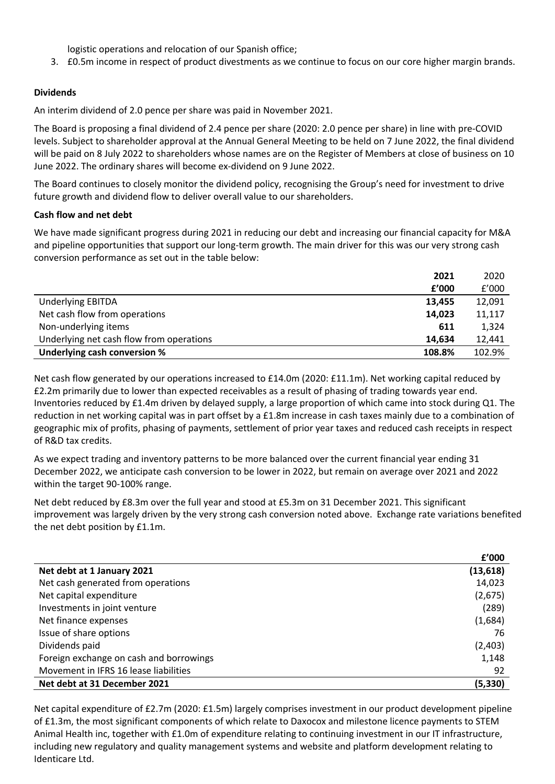logistic operations and relocation of our Spanish office;

3. £0.5m income in respect of product divestments as we continue to focus on our core higher margin brands.

## **Dividends**

An interim dividend of 2.0 pence per share was paid in November 2021.

The Board is proposing a final dividend of 2.4 pence per share (2020: 2.0 pence per share) in line with pre-COVID levels. Subject to shareholder approval at the Annual General Meeting to be held on 7 June 2022, the final dividend will be paid on 8 July 2022 to shareholders whose names are on the Register of Members at close of business on 10 June 2022. The ordinary shares will become ex-dividend on 9 June 2022.

The Board continues to closely monitor the dividend policy, recognising the Group's need for investment to drive future growth and dividend flow to deliver overall value to our shareholders.

#### **Cash flow and net debt**

We have made significant progress during 2021 in reducing our debt and increasing our financial capacity for M&A and pipeline opportunities that support our long-term growth. The main driver for this was our very strong cash conversion performance as set out in the table below:

|                                          | 2021   | 2020   |
|------------------------------------------|--------|--------|
|                                          | f'000  | f'000  |
| <b>Underlying EBITDA</b>                 | 13,455 | 12,091 |
| Net cash flow from operations            | 14,023 | 11,117 |
| Non-underlying items                     | 611    | 1,324  |
| Underlying net cash flow from operations | 14.634 | 12,441 |
| Underlying cash conversion %             | 108.8% | 102.9% |

Net cash flow generated by our operations increased to £14.0m (2020: £11.1m). Net working capital reduced by £2.2m primarily due to lower than expected receivables as a result of phasing of trading towards year end. Inventories reduced by £1.4m driven by delayed supply, a large proportion of which came into stock during Q1. The reduction in net working capital was in part offset by a £1.8m increase in cash taxes mainly due to a combination of geographic mix of profits, phasing of payments, settlement of prior year taxes and reduced cash receipts in respect of R&D tax credits.

As we expect trading and inventory patterns to be more balanced over the current financial year ending 31 December 2022, we anticipate cash conversion to be lower in 2022, but remain on average over 2021 and 2022 within the target 90-100% range.

Net debt reduced by £8.3m over the full year and stood at £5.3m on 31 December 2021. This significant improvement was largely driven by the very strong cash conversion noted above. Exchange rate variations benefited the net debt position by £1.1m.

|                                         | £'000     |
|-----------------------------------------|-----------|
| Net debt at 1 January 2021              | (13, 618) |
| Net cash generated from operations      | 14,023    |
| Net capital expenditure                 | (2,675)   |
| Investments in joint venture            | (289)     |
| Net finance expenses                    | (1,684)   |
| Issue of share options                  | 76        |
| Dividends paid                          | (2,403)   |
| Foreign exchange on cash and borrowings | 1,148     |
| Movement in IFRS 16 lease liabilities   | 92        |
| Net debt at 31 December 2021            | (5, 330)  |

Net capital expenditure of £2.7m (2020: £1.5m) largely comprises investment in our product development pipeline of £1.3m, the most significant components of which relate to Daxocox and milestone licence payments to STEM Animal Health inc, together with £1.0m of expenditure relating to continuing investment in our IT infrastructure, including new regulatory and quality management systems and website and platform development relating to Identicare Ltd.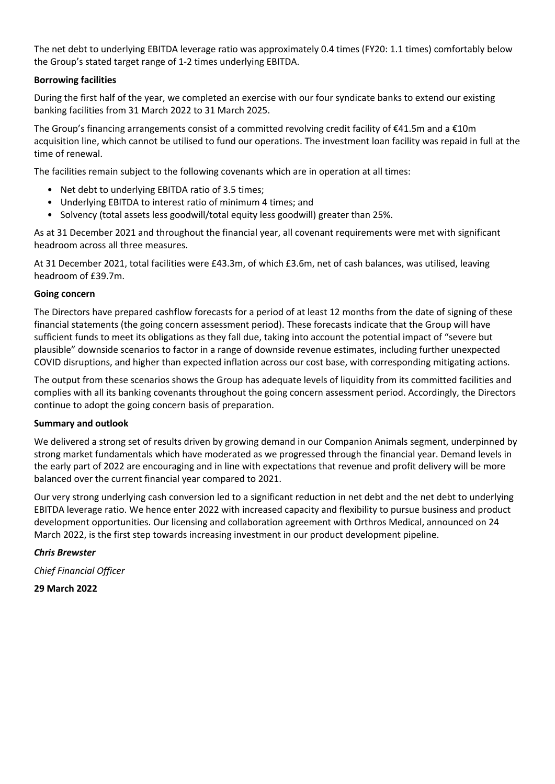The net debt to underlying EBITDA leverage ratio was approximately 0.4 times (FY20: 1.1 times) comfortably below the Group's stated target range of 1-2 times underlying EBITDA.

## **Borrowing facilities**

During the first half of the year, we completed an exercise with our four syndicate banks to extend our existing banking facilities from 31 March 2022 to 31 March 2025.

The Group's financing arrangements consist of a committed revolving credit facility of €41.5m and a €10m acquisition line, which cannot be utilised to fund our operations. The investment loan facility was repaid in full at the time of renewal.

The facilities remain subject to the following covenants which are in operation at all times:

- Net debt to underlying EBITDA ratio of 3.5 times;
- Underlying EBITDA to interest ratio of minimum 4 times; and
- Solvency (total assets less goodwill/total equity less goodwill) greater than 25%.

As at 31 December 2021 and throughout the financial year, all covenant requirements were met with significant headroom across all three measures.

At 31 December 2021, total facilities were £43.3m, of which £3.6m, net of cash balances, was utilised, leaving headroom of £39.7m.

#### **Going concern**

The Directors have prepared cashflow forecasts for a period of at least 12 months from the date of signing of these financial statements (the going concern assessment period). These forecasts indicate that the Group will have sufficient funds to meet its obligations as they fall due, taking into account the potential impact of "severe but plausible" downside scenarios to factor in a range of downside revenue estimates, including further unexpected COVID disruptions, and higher than expected inflation across our cost base, with corresponding mitigating actions.

The output from these scenarios shows the Group has adequate levels of liquidity from its committed facilities and complies with all its banking covenants throughout the going concern assessment period. Accordingly, the Directors continue to adopt the going concern basis of preparation.

#### **Summary and outlook**

We delivered a strong set of results driven by growing demand in our Companion Animals segment, underpinned by strong market fundamentals which have moderated as we progressed through the financial year. Demand levels in the early part of 2022 are encouraging and in line with expectations that revenue and profit delivery will be more balanced over the current financial year compared to 2021.

Our very strong underlying cash conversion led to a significant reduction in net debt and the net debt to underlying EBITDA leverage ratio. We hence enter 2022 with increased capacity and flexibility to pursue business and product development opportunities. Our licensing and collaboration agreement with Orthros Medical, announced on 24 March 2022, is the first step towards increasing investment in our product development pipeline.

#### *Chris Brewster*

*Chief Financial Officer*

**29 March 2022**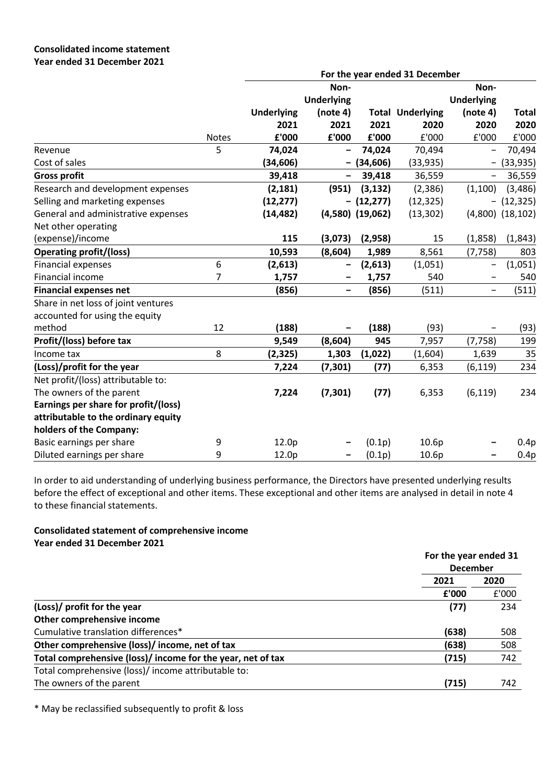|                                      |              | For the year ended 31 December |                          |                      |                         |                          |                      |  |
|--------------------------------------|--------------|--------------------------------|--------------------------|----------------------|-------------------------|--------------------------|----------------------|--|
|                                      |              |                                | Non-                     |                      |                         | Non-                     |                      |  |
|                                      |              |                                | <b>Underlying</b>        |                      |                         | <b>Underlying</b>        |                      |  |
|                                      |              | <b>Underlying</b>              | (note 4)                 |                      | <b>Total Underlying</b> | (note 4)                 | <b>Total</b>         |  |
|                                      |              | 2021                           | 2021                     | 2021                 | 2020                    | 2020                     | 2020                 |  |
|                                      | <b>Notes</b> | £'000                          | £'000                    | £'000                | £'000                   | £'000                    | £'000                |  |
| Revenue                              | 5            | 74,024                         |                          | 74,024               | 70,494                  | $\qquad \qquad -$        | 70,494               |  |
| Cost of sales                        |              | (34, 606)                      |                          | (34, 606)            | (33, 935)               | $\overline{\phantom{0}}$ | (33, 935)            |  |
| <b>Gross profit</b>                  |              | 39,418                         | $\overline{\phantom{a}}$ | 39,418               | 36,559                  | $\overline{\phantom{0}}$ | 36,559               |  |
| Research and development expenses    |              | (2, 181)                       | (951)                    | (3, 132)             | (2,386)                 | (1,100)                  | (3, 486)             |  |
| Selling and marketing expenses       |              | (12, 277)                      |                          | $- (12, 277)$        | (12, 325)               | -                        | (12, 325)            |  |
| General and administrative expenses  |              | (14, 482)                      |                          | $(4,580)$ $(19,062)$ | (13, 302)               |                          | $(4,800)$ $(18,102)$ |  |
| Net other operating                  |              |                                |                          |                      |                         |                          |                      |  |
| (expense)/income                     |              | 115                            | (3,073)                  | (2,958)              | 15                      | (1,858)                  | (1, 843)             |  |
| <b>Operating profit/(loss)</b>       |              | 10,593                         | (8,604)                  | 1,989                | 8,561                   | (7, 758)                 | 803                  |  |
| <b>Financial expenses</b>            | 6            | (2,613)                        |                          | (2,613)              | (1,051)                 | -                        | (1,051)              |  |
| Financial income                     | 7            | 1,757                          |                          | 1,757                | 540                     | $\overline{\phantom{0}}$ | 540                  |  |
| <b>Financial expenses net</b>        |              | (856)                          | $\overline{\phantom{m}}$ | (856)                | (511)                   | $\overline{\phantom{0}}$ | (511)                |  |
| Share in net loss of joint ventures  |              |                                |                          |                      |                         |                          |                      |  |
| accounted for using the equity       |              |                                |                          |                      |                         |                          |                      |  |
| method                               | 12           | (188)                          |                          | (188)                | (93)                    |                          | (93)                 |  |
| Profit/(loss) before tax             |              | 9,549                          | (8,604)                  | 945                  | 7,957                   | (7, 758)                 | 199                  |  |
| Income tax                           | 8            | (2, 325)                       | 1,303                    | (1,022)              | (1,604)                 | 1,639                    | 35                   |  |
| (Loss)/profit for the year           |              | 7,224                          | (7, 301)                 | (77)                 | 6,353                   | (6, 119)                 | 234                  |  |
| Net profit/(loss) attributable to:   |              |                                |                          |                      |                         |                          |                      |  |
| The owners of the parent             |              | 7,224                          | (7, 301)                 | (77)                 | 6,353                   | (6, 119)                 | 234                  |  |
| Earnings per share for profit/(loss) |              |                                |                          |                      |                         |                          |                      |  |
| attributable to the ordinary equity  |              |                                |                          |                      |                         |                          |                      |  |
| holders of the Company:              |              |                                |                          |                      |                         |                          |                      |  |
| Basic earnings per share             | 9            | 12.0p                          |                          | (0.1p)               | 10.6p                   |                          | 0.4p                 |  |
| Diluted earnings per share           | 9            | 12.0p                          |                          | (0.1p)               | 10.6p                   |                          | 0.4p                 |  |

In order to aid understanding of underlying business performance, the Directors have presented underlying results before the effect of exceptional and other items. These exceptional and other items are analysed in detail in note 4 to these financial statements.

#### **Consolidated statement of comprehensive income Year ended 31 December 2021**

|                                                             | For the year ended 31 |       |
|-------------------------------------------------------------|-----------------------|-------|
|                                                             | <b>December</b>       |       |
|                                                             | 2021                  | 2020  |
|                                                             | £'000                 | £'000 |
| (Loss)/ profit for the year                                 | (77)                  | 234   |
| Other comprehensive income                                  |                       |       |
| Cumulative translation differences*                         | (638)                 | 508   |
| Other comprehensive (loss)/ income, net of tax              | (638)                 | 508   |
| Total comprehensive (loss)/ income for the year, net of tax | (715)                 | 742   |
| Total comprehensive (loss)/ income attributable to:         |                       |       |
| The owners of the parent                                    | (715)                 | 742   |

\* May be reclassified subsequently to profit & loss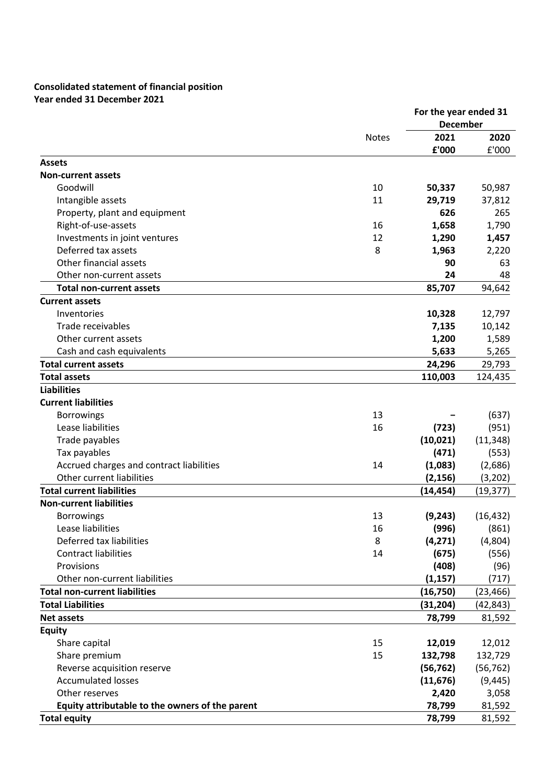## **Consolidated statement of financial position Year ended 31 December 2021**

|                                                 |              | For the year ended 31<br><b>December</b> |           |
|-------------------------------------------------|--------------|------------------------------------------|-----------|
|                                                 | <b>Notes</b> | 2021                                     | 2020      |
|                                                 |              | £'000                                    | £'000     |
| <b>Assets</b>                                   |              |                                          |           |
| <b>Non-current assets</b>                       |              |                                          |           |
| Goodwill                                        | 10           | 50,337                                   | 50,987    |
| Intangible assets                               | 11           | 29,719                                   | 37,812    |
| Property, plant and equipment                   |              | 626                                      | 265       |
| Right-of-use-assets                             | 16           | 1,658                                    | 1,790     |
| Investments in joint ventures                   | 12           | 1,290                                    | 1,457     |
| Deferred tax assets                             | 8            | 1,963                                    | 2,220     |
| Other financial assets                          |              | 90                                       | 63        |
| Other non-current assets                        |              | 24                                       | 48        |
| <b>Total non-current assets</b>                 |              | 85,707                                   | 94,642    |
| <b>Current assets</b>                           |              |                                          |           |
| Inventories                                     |              | 10,328                                   | 12,797    |
| Trade receivables                               |              | 7,135                                    | 10,142    |
| Other current assets                            |              | 1,200                                    | 1,589     |
| Cash and cash equivalents                       |              | 5,633                                    | 5,265     |
| <b>Total current assets</b>                     |              | 24,296                                   | 29,793    |
| <b>Total assets</b>                             |              | 110,003                                  | 124,435   |
| <b>Liabilities</b>                              |              |                                          |           |
| <b>Current liabilities</b>                      |              |                                          |           |
| <b>Borrowings</b>                               | 13           |                                          | (637)     |
| Lease liabilities                               | 16           | (723)                                    | (951)     |
| Trade payables                                  |              | (10, 021)                                | (11, 348) |
| Tax payables                                    |              | (471)                                    | (553)     |
| Accrued charges and contract liabilities        | 14           | (1,083)                                  | (2,686)   |
| Other current liabilities                       |              | (2, 156)                                 | (3,202)   |
| <b>Total current liabilities</b>                |              | (14, 454)                                | (19, 377) |
| <b>Non-current liabilities</b>                  |              |                                          |           |
| <b>Borrowings</b>                               | 13           | (9, 243)                                 | (16, 432) |
| Lease liabilities                               | 16           | (996)                                    | (861)     |
| Deferred tax liabilities                        | 8            | (4, 271)                                 | (4,804)   |
| <b>Contract liabilities</b>                     | 14           | (675)                                    | (556)     |
| Provisions                                      |              | (408)                                    | (96)      |
| Other non-current liabilities                   |              | (1, 157)                                 | (717)     |
| <b>Total non-current liabilities</b>            |              | (16, 750)                                | (23, 466) |
| <b>Total Liabilities</b>                        |              | (31, 204)                                | (42, 843) |
| <b>Net assets</b>                               |              | 78,799                                   | 81,592    |
| <b>Equity</b>                                   |              |                                          |           |
| Share capital                                   | 15           | 12,019                                   | 12,012    |
| Share premium                                   | 15           | 132,798                                  | 132,729   |
| Reverse acquisition reserve                     |              | (56, 762)                                | (56, 762) |
| <b>Accumulated losses</b>                       |              | (11, 676)                                | (9, 445)  |
| Other reserves                                  |              | 2,420                                    | 3,058     |
| Equity attributable to the owners of the parent |              | 78,799                                   | 81,592    |
| <b>Total equity</b>                             |              | 78,799                                   | 81,592    |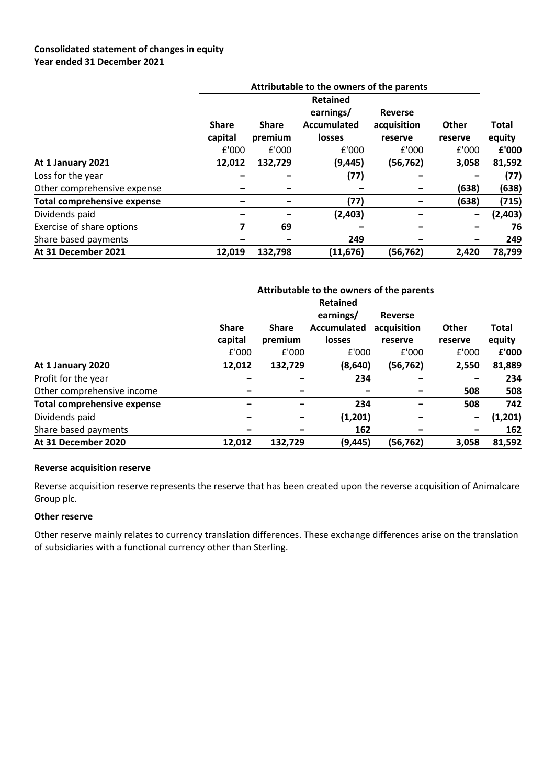## **Consolidated statement of changes in equity Year ended 31 December 2021**

|                                    | Attributable to the owners of the parents |                         |                                                  |                                          |                          |                        |  |
|------------------------------------|-------------------------------------------|-------------------------|--------------------------------------------------|------------------------------------------|--------------------------|------------------------|--|
|                                    |                                           |                         | <b>Retained</b>                                  |                                          |                          |                        |  |
|                                    | <b>Share</b><br>capital                   | <b>Share</b><br>premium | earnings/<br><b>Accumulated</b><br><b>losses</b> | <b>Reverse</b><br>acquisition<br>reserve | Other<br>reserve         | <b>Total</b><br>equity |  |
|                                    | £'000                                     | £'000                   | £'000                                            | £'000                                    | £'000                    | £'000                  |  |
| At 1 January 2021                  | 12,012                                    | 132,729                 | (9,445)                                          | (56, 762)                                | 3,058                    | 81,592                 |  |
| Loss for the year                  |                                           |                         | (77)                                             |                                          |                          | (77)                   |  |
| Other comprehensive expense        |                                           |                         |                                                  |                                          | (638)                    | (638)                  |  |
| <b>Total comprehensive expense</b> |                                           |                         | (77)                                             |                                          | (638)                    | (715)                  |  |
| Dividends paid                     |                                           |                         | (2,403)                                          |                                          | $\overline{\phantom{m}}$ | (2,403)                |  |
| Exercise of share options          | 7                                         | 69                      |                                                  |                                          |                          | 76                     |  |
| Share based payments               |                                           |                         | 249                                              |                                          |                          | 249                    |  |
| At 31 December 2021                | 12,019                                    | 132,798                 | (11, 676)                                        | (56,762)                                 | 2,420                    | 78,799                 |  |

|                                    | Attributable to the owners of the parents<br><b>Retained</b> |                         |                                                  |                                          |                              |                        |  |
|------------------------------------|--------------------------------------------------------------|-------------------------|--------------------------------------------------|------------------------------------------|------------------------------|------------------------|--|
|                                    | <b>Share</b><br>capital                                      | <b>Share</b><br>premium | earnings/<br><b>Accumulated</b><br><b>losses</b> | <b>Reverse</b><br>acquisition<br>reserve | <b>Other</b><br>reserve      | <b>Total</b><br>equity |  |
|                                    | £'000                                                        | £'000                   | £'000                                            | £'000                                    | £'000                        | £'000                  |  |
| At 1 January 2020                  | 12,012                                                       | 132,729                 | (8,640)                                          | (56,762)                                 | 2,550                        | 81,889                 |  |
| Profit for the year                |                                                              |                         | 234                                              |                                          |                              | 234                    |  |
| Other comprehensive income         |                                                              |                         |                                                  |                                          | 508                          | 508                    |  |
| <b>Total comprehensive expense</b> |                                                              |                         | 234                                              |                                          | 508                          | 742                    |  |
| Dividends paid                     |                                                              |                         | (1,201)                                          |                                          | $\qquad \qquad \blacksquare$ | (1,201)                |  |
| Share based payments               |                                                              |                         | 162                                              |                                          | $\qquad \qquad \blacksquare$ | 162                    |  |
| At 31 December 2020                | 12,012                                                       | 132,729                 | (9,445)                                          | (56, 762)                                | 3.058                        | 81,592                 |  |

## **Reverse acquisition reserve**

Reverse acquisition reserve represents the reserve that has been created upon the reverse acquisition of Animalcare Group plc.

#### **Other reserve**

Other reserve mainly relates to currency translation differences. These exchange differences arise on the translation of subsidiaries with a functional currency other than Sterling.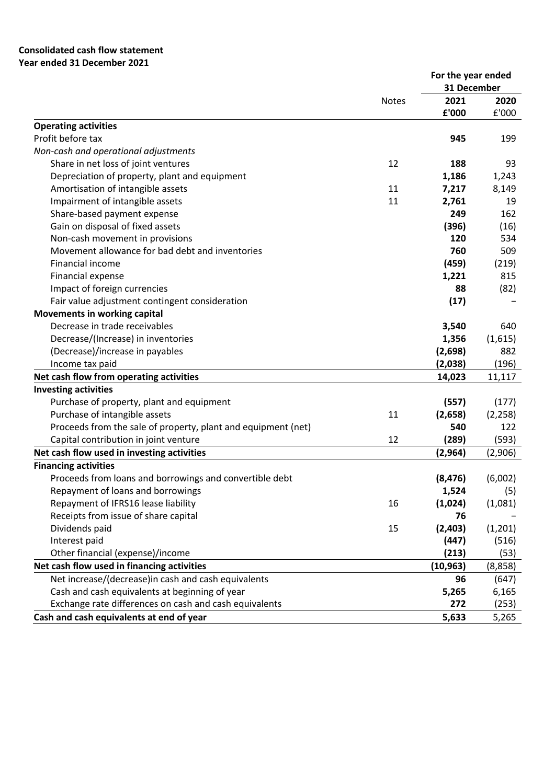## **Consolidated cash flow statement Year ended 31 December 2021**

|                                                                                |              | For the year ended<br>31 December |              |
|--------------------------------------------------------------------------------|--------------|-----------------------------------|--------------|
|                                                                                | <b>Notes</b> | 2021                              | 2020         |
|                                                                                |              | £'000                             | £'000        |
| <b>Operating activities</b>                                                    |              |                                   |              |
| Profit before tax                                                              |              | 945                               | 199          |
| Non-cash and operational adjustments                                           |              |                                   |              |
| Share in net loss of joint ventures                                            | 12           | 188                               | 93           |
| Depreciation of property, plant and equipment                                  |              | 1,186                             | 1,243        |
| Amortisation of intangible assets                                              | 11           | 7,217                             | 8,149        |
| Impairment of intangible assets                                                | 11           | 2,761                             | 19           |
| Share-based payment expense                                                    |              | 249                               | 162          |
| Gain on disposal of fixed assets                                               |              | (396)                             | (16)         |
| Non-cash movement in provisions                                                |              | 120                               | 534          |
| Movement allowance for bad debt and inventories                                |              | 760                               | 509          |
| Financial income                                                               |              | (459)                             |              |
|                                                                                |              | 1,221                             | (219)<br>815 |
| Financial expense                                                              |              | 88                                |              |
| Impact of foreign currencies<br>Fair value adjustment contingent consideration |              | (17)                              | (82)         |
| <b>Movements in working capital</b>                                            |              |                                   |              |
| Decrease in trade receivables                                                  |              |                                   | 640          |
|                                                                                |              | 3,540                             |              |
| Decrease/(Increase) in inventories                                             |              | 1,356                             | (1,615)      |
| (Decrease)/increase in payables                                                |              | (2,698)                           | 882          |
| Income tax paid                                                                |              | (2,038)                           | (196)        |
| Net cash flow from operating activities                                        |              | 14,023                            | 11,117       |
| <b>Investing activities</b>                                                    |              |                                   |              |
| Purchase of property, plant and equipment                                      |              | (557)                             | (177)        |
| Purchase of intangible assets                                                  | 11           | (2,658)                           | (2, 258)     |
| Proceeds from the sale of property, plant and equipment (net)                  |              | 540                               | 122          |
| Capital contribution in joint venture                                          | 12           | (289)                             | (593)        |
| Net cash flow used in investing activities                                     |              | (2,964)                           | (2,906)      |
| <b>Financing activities</b>                                                    |              |                                   |              |
| Proceeds from loans and borrowings and convertible debt                        |              | (8, 476)                          | (6,002)      |
| Repayment of loans and borrowings                                              |              | 1,524                             | (5)          |
| Repayment of IFRS16 lease liability                                            | 16           | (1,024)                           | (1,081)      |
| Receipts from issue of share capital                                           |              | 76                                |              |
| Dividends paid                                                                 | 15           | (2, 403)                          | (1, 201)     |
| Interest paid                                                                  |              | (447)                             | (516)        |
| Other financial (expense)/income                                               |              | (213)                             | (53)         |
| Net cash flow used in financing activities                                     |              | (10, 963)                         | (8,858)      |
| Net increase/(decrease)in cash and cash equivalents                            |              | 96                                | (647)        |
| Cash and cash equivalents at beginning of year                                 |              | 5,265                             | 6,165        |
| Exchange rate differences on cash and cash equivalents                         |              | 272                               | (253)        |
| Cash and cash equivalents at end of year                                       |              | 5,633                             | 5,265        |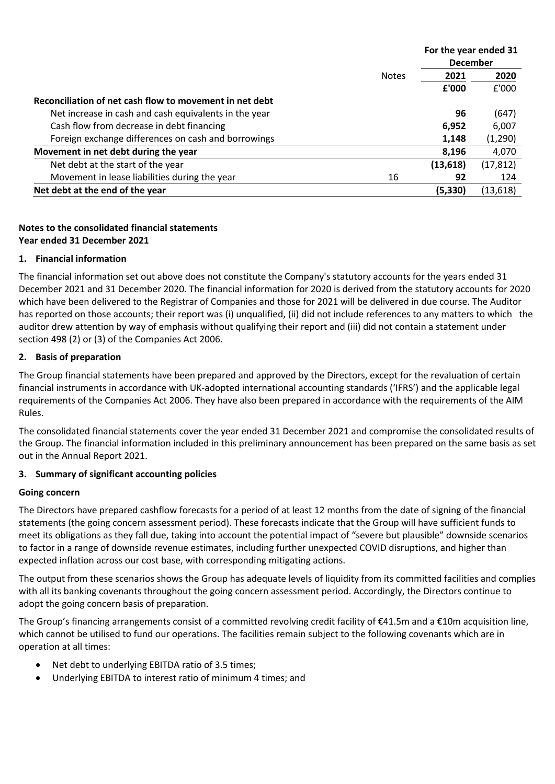|                                                         |              | For the year ended 31 |           |
|---------------------------------------------------------|--------------|-----------------------|-----------|
|                                                         |              | <b>December</b>       |           |
|                                                         | <b>Notes</b> | 2021                  | 2020      |
|                                                         |              | £'000                 | £'000     |
| Reconciliation of net cash flow to movement in net debt |              |                       |           |
| Net increase in cash and cash equivalents in the year   |              | 96                    | (647)     |
| Cash flow from decrease in debt financing               |              | 6,952                 | 6,007     |
| Foreign exchange differences on cash and borrowings     |              | 1,148                 | (1,290)   |
| Movement in net debt during the year                    |              | 8,196                 | 4,070     |
| Net debt at the start of the year                       |              | (13, 618)             | (17, 812) |
| Movement in lease liabilities during the year           | 16           | 92                    | 124       |
| Net debt at the end of the year                         |              | (5, 330)              | (13, 618) |

# **Notes to the consolidated financial statements Year ended 31 December 2021**

## **1. Financial information**

The financial information set out above does not constitute the Company's statutory accounts for the years ended 31 December 2021 and 31 December 2020. The financial information for 2020 is derived from the statutory accounts for 2020 which have been delivered to the Registrar of Companies and those for 2021 will be delivered in due course. The Auditor has reported on those accounts; their report was (i) unqualified, (ii) did not include references to any matters to which the auditor drew attention by way of emphasis without qualifying their report and (iii) did not contain a statement under section 498 (2) or (3) of the Companies Act 2006.

## **2. Basis of preparation**

The Group financial statements have been prepared and approved by the Directors, except for the revaluation of certain financial instruments in accordance with UK-adopted international accounting standards ('IFRS') and the applicable legal requirements of the Companies Act 2006. They have also been prepared in accordance with the requirements of the AIM Rules.

The consolidated financial statements cover the year ended 31 December 2021 and compromise the consolidated results of the Group. The financial information included in this preliminary announcement has been prepared on the same basis as set out in the Annual Report 2021.

## **3. Summary of significant accounting policies**

#### **Going concern**

The Directors have prepared cashflow forecasts for a period of at least 12 months from the date of signing of the financial statements (the going concern assessment period). These forecasts indicate that the Group will have sufficient funds to meet its obligations as they fall due, taking into account the potential impact of "severe but plausible" downside scenarios to factor in a range of downside revenue estimates, including further unexpected COVID disruptions, and higher than expected inflation across our cost base, with corresponding mitigating actions.

The output from these scenarios shows the Group has adequate levels of liquidity from its committed facilities and complies with all its banking covenants throughout the going concern assessment period. Accordingly, the Directors continue to adopt the going concern basis of preparation.

The Group's financing arrangements consist of a committed revolving credit facility of  $\epsilon$ 41.5m and a  $\epsilon$ 10m acquisition line, which cannot be utilised to fund our operations. The facilities remain subject to the following covenants which are in operation at all times:

- Net debt to underlying EBITDA ratio of 3.5 times;
- Underlying EBITDA to interest ratio of minimum 4 times; and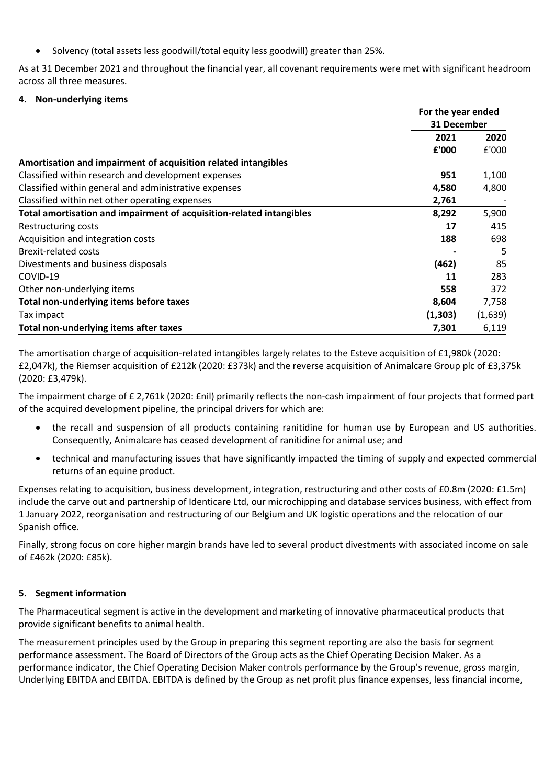• Solvency (total assets less goodwill/total equity less goodwill) greater than 25%.

As at 31 December 2021 and throughout the financial year, all covenant requirements were met with significant headroom across all three measures.

## **4. Non-underlying items**

|                                                                      | For the year ended<br>31 December |         |
|----------------------------------------------------------------------|-----------------------------------|---------|
|                                                                      |                                   |         |
|                                                                      | 2021                              | 2020    |
|                                                                      | £'000                             | £'000   |
| Amortisation and impairment of acquisition related intangibles       |                                   |         |
| Classified within research and development expenses                  | 951                               | 1,100   |
| Classified within general and administrative expenses                | 4,580                             | 4,800   |
| Classified within net other operating expenses                       | 2,761                             |         |
| Total amortisation and impairment of acquisition-related intangibles | 8,292                             | 5,900   |
| Restructuring costs                                                  | 17                                | 415     |
| Acquisition and integration costs                                    | 188                               | 698     |
| <b>Brexit-related costs</b>                                          |                                   | 5       |
| Divestments and business disposals                                   | (462)                             | 85      |
| COVID-19                                                             | 11                                | 283     |
| Other non-underlying items                                           | 558                               | 372     |
| Total non-underlying items before taxes                              | 8,604                             | 7,758   |
| Tax impact                                                           | (1, 303)                          | (1,639) |
| Total non-underlying items after taxes                               | 7,301                             | 6,119   |

The amortisation charge of acquisition-related intangibles largely relates to the Esteve acquisition of £1,980k (2020: £2,047k), the Riemser acquisition of £212k (2020: £373k) and the reverse acquisition of Animalcare Group plc of £3,375k (2020: £3,479k).

The impairment charge of £ 2,761k (2020: £nil) primarily reflects the non-cash impairment of four projects that formed part of the acquired development pipeline, the principal drivers for which are:

- the recall and suspension of all products containing ranitidine for human use by European and US authorities. Consequently, Animalcare has ceased development of ranitidine for animal use; and
- technical and manufacturing issues that have significantly impacted the timing of supply and expected commercial returns of an equine product.

Expenses relating to acquisition, business development, integration, restructuring and other costs of £0.8m (2020: £1.5m) include the carve out and partnership of Identicare Ltd, our microchipping and database services business, with effect from 1 January 2022, reorganisation and restructuring of our Belgium and UK logistic operations and the relocation of our Spanish office.

Finally, strong focus on core higher margin brands have led to several product divestments with associated income on sale of £462k (2020: £85k).

## **5. Segment information**

The Pharmaceutical segment is active in the development and marketing of innovative pharmaceutical products that provide significant benefits to animal health.

The measurement principles used by the Group in preparing this segment reporting are also the basis for segment performance assessment. The Board of Directors of the Group acts as the Chief Operating Decision Maker. As a performance indicator, the Chief Operating Decision Maker controls performance by the Group's revenue, gross margin, Underlying EBITDA and EBITDA. EBITDA is defined by the Group as net profit plus finance expenses, less financial income,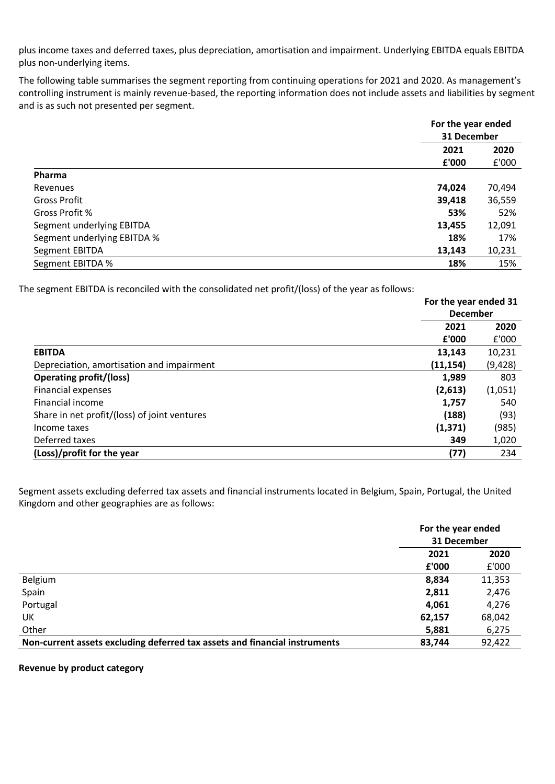plus income taxes and deferred taxes, plus depreciation, amortisation and impairment. Underlying EBITDA equals EBITDA plus non-underlying items.

The following table summarises the segment reporting from continuing operations for 2021 and 2020. As management's controlling instrument is mainly revenue-based, the reporting information does not include assets and liabilities by segment and is as such not presented per segment.

|                             |        | For the year ended<br>31 December |  |
|-----------------------------|--------|-----------------------------------|--|
|                             |        |                                   |  |
|                             | 2021   | 2020<br>£'000                     |  |
|                             | £'000  |                                   |  |
| Pharma                      |        |                                   |  |
| Revenues                    | 74,024 | 70,494                            |  |
| <b>Gross Profit</b>         | 39,418 | 36,559                            |  |
| Gross Profit %              | 53%    | 52%                               |  |
| Segment underlying EBITDA   | 13,455 | 12,091                            |  |
| Segment underlying EBITDA % | 18%    | 17%                               |  |
| Segment EBITDA              | 13,143 | 10,231                            |  |
| Segment EBITDA %            | 18%    | 15%                               |  |

The segment EBITDA is reconciled with the consolidated net profit/(loss) of the year as follows:

|                                              | For the year ended 31<br><b>December</b> |         |
|----------------------------------------------|------------------------------------------|---------|
|                                              |                                          |         |
|                                              | 2021                                     | 2020    |
|                                              | £'000                                    | £'000   |
| <b>EBITDA</b>                                | 13,143                                   | 10,231  |
| Depreciation, amortisation and impairment    | (11, 154)                                | (9,428) |
| <b>Operating profit/(loss)</b>               | 1,989                                    | 803     |
| <b>Financial expenses</b>                    | (2,613)                                  | (1,051) |
| Financial income                             | 1,757                                    | 540     |
| Share in net profit/(loss) of joint ventures | (188)                                    | (93)    |
| Income taxes                                 | (1, 371)                                 | (985)   |
| Deferred taxes                               | 349                                      | 1,020   |
| (Loss)/profit for the year                   | (77)                                     | 234     |

Segment assets excluding deferred tax assets and financial instruments located in Belgium, Spain, Portugal, the United Kingdom and other geographies are as follows:

|                                                                            | For the year ended<br>31 December |        |
|----------------------------------------------------------------------------|-----------------------------------|--------|
|                                                                            | 2021                              | 2020   |
|                                                                            | £'000                             | E'000  |
| Belgium                                                                    | 8,834                             | 11,353 |
| Spain                                                                      | 2,811                             | 2,476  |
| Portugal                                                                   | 4,061                             | 4,276  |
| UK                                                                         | 62,157                            | 68,042 |
| Other                                                                      | 5,881                             | 6,275  |
| Non-current assets excluding deferred tax assets and financial instruments | 83,744                            | 92,422 |

**Revenue by product category**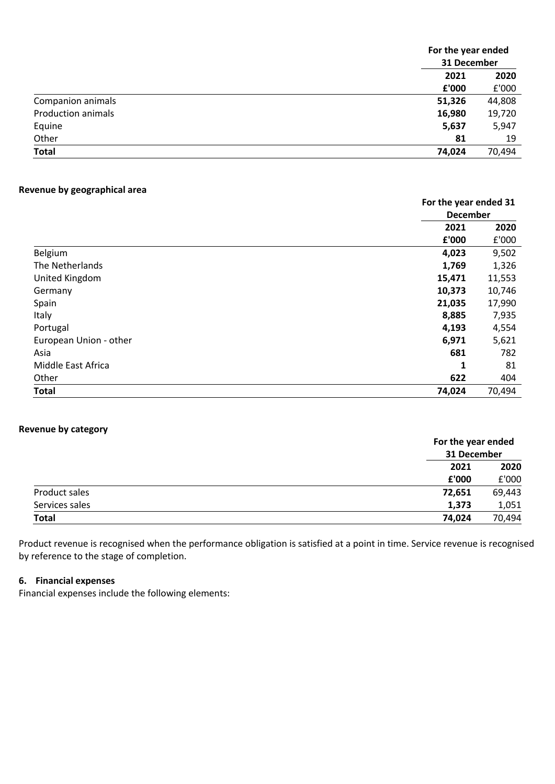|                           |        | For the year ended<br>31 December |  |
|---------------------------|--------|-----------------------------------|--|
|                           |        |                                   |  |
|                           | 2021   | 2020                              |  |
|                           | £'000  | £'000                             |  |
| Companion animals         | 51,326 | 44,808                            |  |
| <b>Production animals</b> | 16,980 | 19,720                            |  |
| Equine                    | 5,637  | 5,947                             |  |
| Other                     | 81     | 19                                |  |
| <b>Total</b>              | 74,024 | 70,494                            |  |

## **Revenue by geographical area**

|                        |              | For the year ended 31<br><b>December</b> |  |
|------------------------|--------------|------------------------------------------|--|
|                        | 2021         | 2020                                     |  |
|                        | £'000        | £'000                                    |  |
| Belgium                | 4,023        | 9,502                                    |  |
| The Netherlands        | 1,769        | 1,326                                    |  |
| United Kingdom         | 15,471       | 11,553                                   |  |
| Germany                | 10,373       | 10,746                                   |  |
| Spain                  | 21,035       | 17,990                                   |  |
| Italy                  | 8,885        | 7,935                                    |  |
| Portugal               | 4,193        | 4,554                                    |  |
| European Union - other | 6,971        | 5,621                                    |  |
| Asia                   | 681          | 782                                      |  |
| Middle East Africa     | $\mathbf{1}$ | 81                                       |  |
| Other                  | 622          | 404                                      |  |
| <b>Total</b>           | 74,024       | 70,494                                   |  |

## **Revenue by category**

|                |        | For the year ended<br>31 December |  |
|----------------|--------|-----------------------------------|--|
|                | 2021   | 2020                              |  |
|                | £'000  | £'000                             |  |
| Product sales  | 72,651 | 69,443                            |  |
| Services sales | 1,373  | 1,051                             |  |
| <b>Total</b>   | 74,024 | 70,494                            |  |

Product revenue is recognised when the performance obligation is satisfied at a point in time. Service revenue is recognised by reference to the stage of completion.

#### **6. Financial expenses**

Financial expenses include the following elements: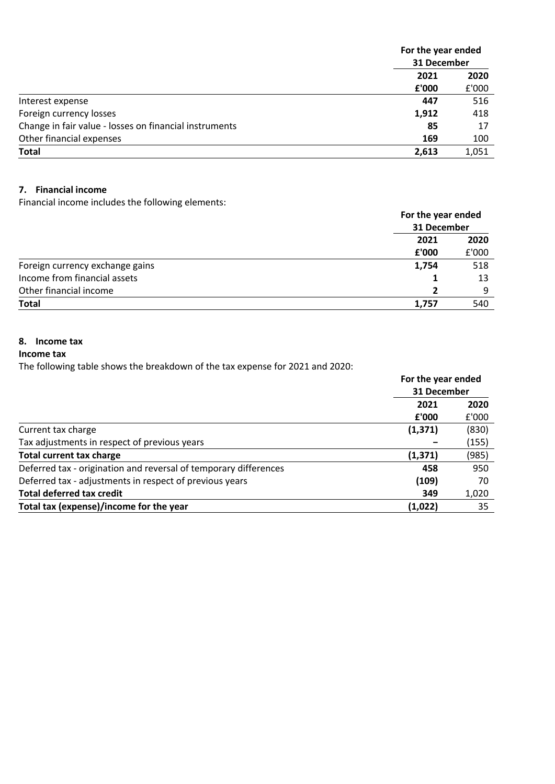|                                                        | For the year ended<br>31 December |               |
|--------------------------------------------------------|-----------------------------------|---------------|
|                                                        |                                   |               |
|                                                        | 2021                              | 2020<br>£'000 |
|                                                        | £'000                             |               |
| Interest expense                                       | 447                               | 516           |
| Foreign currency losses                                | 1,912                             | 418           |
| Change in fair value - losses on financial instruments | 85                                | 17            |
| Other financial expenses                               | 169                               | 100           |
| <b>Total</b>                                           | 2,613                             | 1,051         |

## **7. Financial income**

Financial income includes the following elements:

|                                 | For the year ended<br>31 December |       |
|---------------------------------|-----------------------------------|-------|
|                                 | 2021                              | 2020  |
|                                 | £'000                             | £'000 |
| Foreign currency exchange gains | 1,754                             | 518   |
| Income from financial assets    |                                   | 13    |
| Other financial income          |                                   | 9     |
| <b>Total</b>                    | 1,757                             | 540   |

# **8. Income tax**

## **Income tax**

The following table shows the breakdown of the tax expense for 2021 and 2020:

|                                                                  | For the year ended<br>31 December |       |
|------------------------------------------------------------------|-----------------------------------|-------|
|                                                                  |                                   |       |
|                                                                  | 2021                              | 2020  |
|                                                                  | £'000                             | £'000 |
| Current tax charge                                               | (1, 371)                          | (830) |
| Tax adjustments in respect of previous years                     |                                   | (155) |
| <b>Total current tax charge</b>                                  | (1, 371)                          | (985) |
| Deferred tax - origination and reversal of temporary differences | 458                               | 950   |
| Deferred tax - adjustments in respect of previous years          | (109)                             | 70    |
| <b>Total deferred tax credit</b>                                 | 349                               | 1,020 |
| Total tax (expense)/income for the year                          | (1,022)                           | 35    |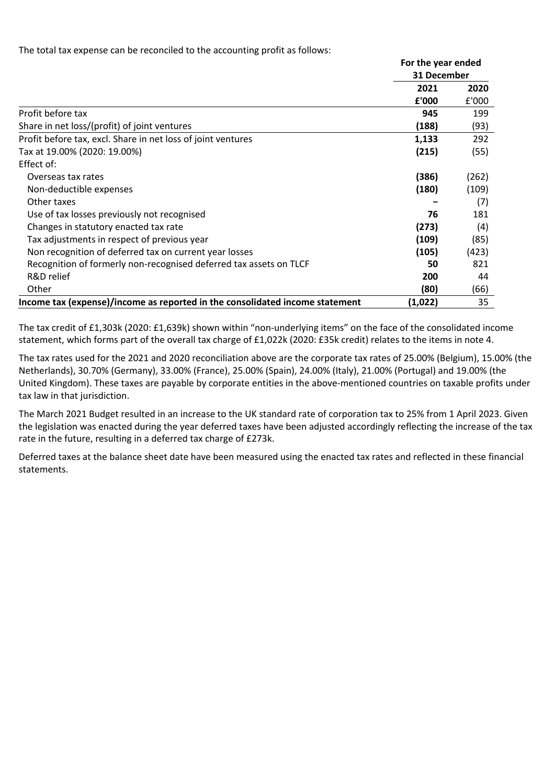The total tax expense can be reconciled to the accounting profit as follows:

|                                                                              | For the year ended |       |
|------------------------------------------------------------------------------|--------------------|-------|
|                                                                              | 31 December        |       |
|                                                                              | 2021               | 2020  |
|                                                                              | £'000              | £'000 |
| Profit before tax                                                            | 945                | 199   |
| Share in net loss/(profit) of joint ventures                                 | (188)              | (93)  |
| Profit before tax, excl. Share in net loss of joint ventures                 | 1,133              | 292   |
| Tax at 19.00% (2020: 19.00%)                                                 | (215)              | (55)  |
| Effect of:                                                                   |                    |       |
| Overseas tax rates                                                           | (386)              | (262) |
| Non-deductible expenses                                                      | (180)              | (109) |
| Other taxes                                                                  |                    | (7)   |
| Use of tax losses previously not recognised                                  | 76                 | 181   |
| Changes in statutory enacted tax rate                                        | (273)              | (4)   |
| Tax adjustments in respect of previous year                                  | (109)              | (85)  |
| Non recognition of deferred tax on current year losses                       | (105)              | (423) |
| Recognition of formerly non-recognised deferred tax assets on TLCF           | 50                 | 821   |
| R&D relief                                                                   | 200                | 44    |
| Other                                                                        | (80)               | (66)  |
| Income tax (expense)/income as reported in the consolidated income statement | (1,022)            | 35    |

The tax credit of £1,303k (2020: £1,639k) shown within "non-underlying items" on the face of the consolidated income statement, which forms part of the overall tax charge of £1,022k (2020: £35k credit) relates to the items in note 4.

The tax rates used for the 2021 and 2020 reconciliation above are the corporate tax rates of 25.00% (Belgium), 15.00% (the Netherlands), 30.70% (Germany), 33.00% (France), 25.00% (Spain), 24.00% (Italy), 21.00% (Portugal) and 19.00% (the United Kingdom). These taxes are payable by corporate entities in the above-mentioned countries on taxable profits under tax law in that jurisdiction.

The March 2021 Budget resulted in an increase to the UK standard rate of corporation tax to 25% from 1 April 2023. Given the legislation was enacted during the year deferred taxes have been adjusted accordingly reflecting the increase of the tax rate in the future, resulting in a deferred tax charge of £273k.

Deferred taxes at the balance sheet date have been measured using the enacted tax rates and reflected in these financial statements.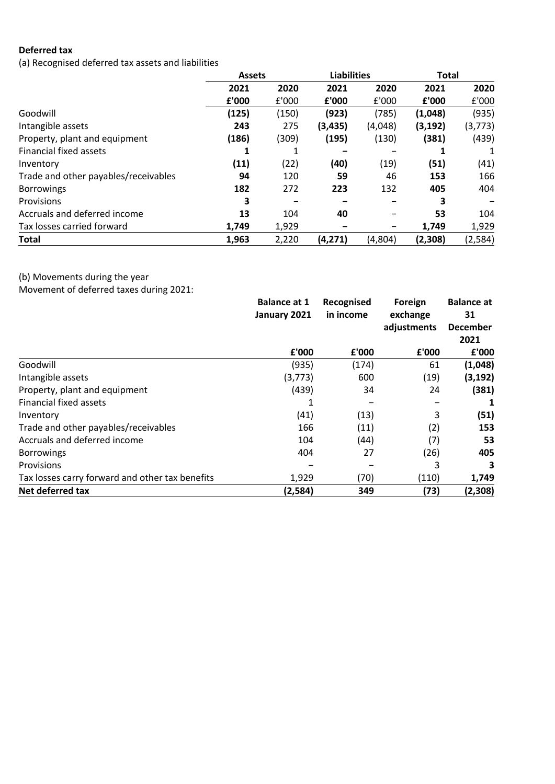# **Deferred tax**

(a) Recognised deferred tax assets and liabilities

|                                      | <b>Assets</b> |       | <b>Liabilities</b> |         | <b>Total</b> |          |
|--------------------------------------|---------------|-------|--------------------|---------|--------------|----------|
|                                      | 2021          | 2020  | 2021               | 2020    | 2021         | 2020     |
|                                      | £'000         | £'000 | £'000              | £'000   | £'000        | £'000    |
| Goodwill                             | (125)         | (150) | (923)              | (785)   | (1,048)      | (935)    |
| Intangible assets                    | 243           | 275   | (3, 435)           | (4,048) | (3, 192)     | (3, 773) |
| Property, plant and equipment        | (186)         | (309) | (195)              | (130)   | (381)        | (439)    |
| <b>Financial fixed assets</b>        |               |       |                    |         |              |          |
| Inventory                            | (11)          | (22)  | (40)               | (19)    | (51)         | (41)     |
| Trade and other payables/receivables | 94            | 120   | 59                 | 46      | 153          | 166      |
| <b>Borrowings</b>                    | 182           | 272   | 223                | 132     | 405          | 404      |
| Provisions                           | 3             |       |                    |         | 3            |          |
| Accruals and deferred income         | 13            | 104   | 40                 |         | 53           | 104      |
| Tax losses carried forward           | 1,749         | 1,929 |                    | -       | 1,749        | 1,929    |
| Total                                | 1,963         | 2,220 | (4, 271)           | (4,804) | (2,308)      | (2, 584) |

(b) Movements during the year

Movement of deferred taxes during 2021:

|                                                 | <b>Balance at 1</b><br>January 2021 | Recognised | Foreign     | <b>Balance at</b> |
|-------------------------------------------------|-------------------------------------|------------|-------------|-------------------|
|                                                 |                                     | in income  | exchange    | 31                |
|                                                 |                                     |            | adjustments | <b>December</b>   |
|                                                 |                                     |            |             | 2021              |
|                                                 | £'000                               | £'000      | £'000       | £'000             |
| Goodwill                                        | (935)                               | (174)      | 61          | (1,048)           |
| Intangible assets                               | (3, 773)                            | 600        | (19)        | (3, 192)          |
| Property, plant and equipment                   | (439)                               | 34         | 24          | (381)             |
| Financial fixed assets                          |                                     |            |             |                   |
| Inventory                                       | (41)                                | (13)       | 3           | (51)              |
| Trade and other payables/receivables            | 166                                 | (11)       | (2)         | 153               |
| Accruals and deferred income                    | 104                                 | (44)       | (7)         | 53                |
| <b>Borrowings</b>                               | 404                                 | 27         | (26)        | 405               |
| <b>Provisions</b>                               |                                     |            | 3           | 3                 |
| Tax losses carry forward and other tax benefits | 1,929                               | (70)       | (110)       | 1,749             |
| Net deferred tax                                | (2,584)                             | 349        | (73)        | (2,308)           |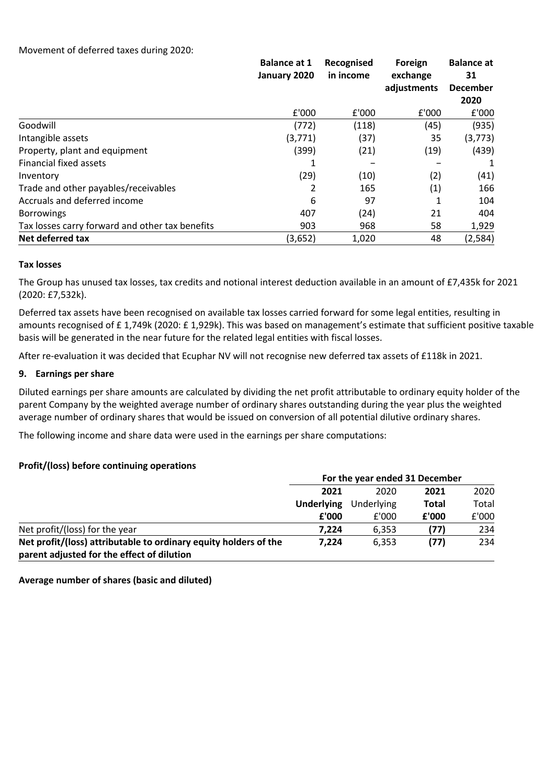|                                                 | <b>Balance at 1</b><br>January 2020 | Recognised<br>in income |             | Foreign<br>exchange | <b>Balance at</b><br>31 |
|-------------------------------------------------|-------------------------------------|-------------------------|-------------|---------------------|-------------------------|
|                                                 |                                     |                         | adjustments | <b>December</b>     |                         |
|                                                 |                                     |                         |             | 2020                |                         |
|                                                 | £'000                               | £'000                   | £'000       | £'000               |                         |
| Goodwill                                        | (772)                               | (118)                   | (45)        | (935)               |                         |
| Intangible assets                               | (3,771)                             | (37)                    | 35          | (3, 773)            |                         |
| Property, plant and equipment                   | (399)                               | (21)                    | (19)        | (439)               |                         |
| <b>Financial fixed assets</b>                   |                                     |                         |             | 1                   |                         |
| Inventory                                       | (29)                                | (10)                    | (2)         | (41)                |                         |
| Trade and other payables/receivables            | 2                                   | 165                     | (1)         | 166                 |                         |
| Accruals and deferred income                    | 6                                   | 97                      | 1           | 104                 |                         |
| <b>Borrowings</b>                               | 407                                 | (24)                    | 21          | 404                 |                         |
| Tax losses carry forward and other tax benefits | 903                                 | 968                     | 58          | 1,929               |                         |
| Net deferred tax                                | (3,652)                             | 1,020                   | 48          | (2,584)             |                         |

#### **Tax losses**

The Group has unused tax losses, tax credits and notional interest deduction available in an amount of £7,435k for 2021 (2020: £7,532k).

Deferred tax assets have been recognised on available tax losses carried forward for some legal entities, resulting in amounts recognised of £ 1,749k (2020: £ 1,929k). This was based on management's estimate that sufficient positive taxable basis will be generated in the near future for the related legal entities with fiscal losses.

After re-evaluation it was decided that Ecuphar NV will not recognise new deferred tax assets of £118k in 2021.

#### **9. Earnings per share**

Diluted earnings per share amounts are calculated by dividing the net profit attributable to ordinary equity holder of the parent Company by the weighted average number of ordinary shares outstanding during the year plus the weighted average number of ordinary shares that would be issued on conversion of all potential dilutive ordinary shares.

The following income and share data were used in the earnings per share computations:

#### **Profit/(loss) before continuing operations**

|                                                                  | For the year ended 31 December |       |       |            |  |  |              |  |       |
|------------------------------------------------------------------|--------------------------------|-------|-------|------------|--|--|--------------|--|-------|
|                                                                  | 2021                           | 2020  | 2021  | 2020       |  |  |              |  |       |
|                                                                  | <b>Underlying</b>              |       |       | Underlying |  |  | <b>Total</b> |  | Total |
|                                                                  | £'000                          | £'000 | £'000 | £'000      |  |  |              |  |       |
| Net profit/(loss) for the year                                   | 7.224                          | 6.353 | (77)  | 234        |  |  |              |  |       |
| Net profit/(loss) attributable to ordinary equity holders of the | 7.224                          | 6.353 | (77)  | 234        |  |  |              |  |       |
| parent adjusted for the effect of dilution                       |                                |       |       |            |  |  |              |  |       |

**Average number of shares (basic and diluted)**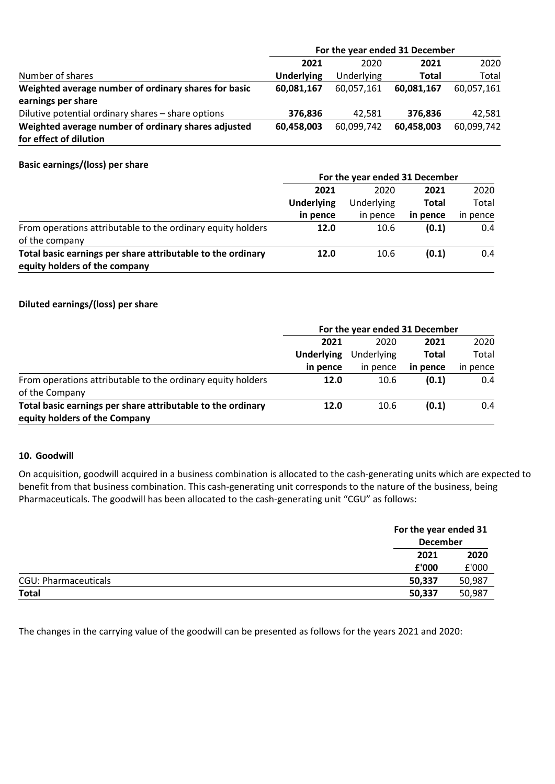|                                                      | For the year ended 31 December |            |              |            |  |  |
|------------------------------------------------------|--------------------------------|------------|--------------|------------|--|--|
|                                                      | 2021                           | 2020       | 2021         | 2020       |  |  |
| Number of shares                                     | Underlying                     | Underlying | <b>Total</b> | Total      |  |  |
| Weighted average number of ordinary shares for basic | 60,081,167                     | 60,057,161 | 60.081.167   | 60,057,161 |  |  |
| earnings per share                                   |                                |            |              |            |  |  |
| Dilutive potential ordinary shares - share options   | 376,836                        | 42.581     | 376.836      | 42,581     |  |  |
| Weighted average number of ordinary shares adjusted  | 60,458,003                     | 60.099.742 | 60,458,003   | 60,099,742 |  |  |
| for effect of dilution                               |                                |            |              |            |  |  |

## **Basic earnings/(loss) per share**

|                                                             | For the year ended 31 December |            |              |          |  |
|-------------------------------------------------------------|--------------------------------|------------|--------------|----------|--|
|                                                             | 2021                           | 2020       | 2021         | 2020     |  |
|                                                             | <b>Underlying</b>              | Underlying | <b>Total</b> | Total    |  |
|                                                             | in pence                       | in pence   | in pence     | in pence |  |
| From operations attributable to the ordinary equity holders | 12.0                           | 10.6       | (0.1)        | 0.4      |  |
| of the company                                              |                                |            |              |          |  |
| Total basic earnings per share attributable to the ordinary | 12.0                           | 10.6       | (0.1)        | 0.4      |  |
| equity holders of the company                               |                                |            |              |          |  |

## **Diluted earnings/(loss) per share**

|                                                             | For the year ended 31 December |          |          |            |              |       |
|-------------------------------------------------------------|--------------------------------|----------|----------|------------|--------------|-------|
|                                                             | 2021                           | 2020     | 2021     | 2020       |              |       |
|                                                             | Underlying                     |          |          | Underlying | <b>Total</b> | Total |
|                                                             | in pence                       | in pence | in pence | in pence   |              |       |
| From operations attributable to the ordinary equity holders | 12.0                           | 10.6     | (0.1)    | 0.4        |              |       |
| of the Company                                              |                                |          |          |            |              |       |
| Total basic earnings per share attributable to the ordinary | 12.0                           | 10.6     | (0.1)    | 0.4        |              |       |
| equity holders of the Company                               |                                |          |          |            |              |       |

#### **10. Goodwill**

On acquisition, goodwill acquired in a business combination is allocated to the cash-generating units which are expected to benefit from that business combination. This cash-generating unit corresponds to the nature of the business, being Pharmaceuticals. The goodwill has been allocated to the cash-generating unit "CGU" as follows:

|                             | For the year ended 31 |                 |  |  |
|-----------------------------|-----------------------|-----------------|--|--|
|                             |                       | <b>December</b> |  |  |
|                             | 2021                  | 2020            |  |  |
|                             | £'000                 | £'000           |  |  |
| <b>CGU: Pharmaceuticals</b> | 50,987<br>50,337      |                 |  |  |
| <b>Total</b>                | 50,987<br>50,337      |                 |  |  |

The changes in the carrying value of the goodwill can be presented as follows for the years 2021 and 2020: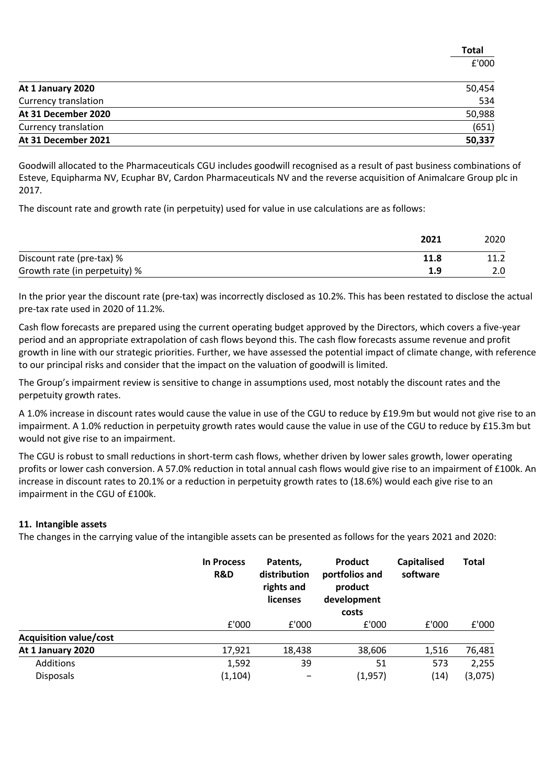| At 1 January 2020    | 50,454 |
|----------------------|--------|
| Currency translation | 534    |
| At 31 December 2020  | 50,988 |
| Currency translation | (651)  |
| At 31 December 2021  | 50,337 |

**Total** £'000

Goodwill allocated to the Pharmaceuticals CGU includes goodwill recognised as a result of past business combinations of Esteve, Equipharma NV, Ecuphar BV, Cardon Pharmaceuticals NV and the reverse acquisition of Animalcare Group plc in 2017.

The discount rate and growth rate (in perpetuity) used for value in use calculations are as follows:

|                               | 2021 | 2020 |
|-------------------------------|------|------|
| Discount rate (pre-tax) %     | 11.8 |      |
| Growth rate (in perpetuity) % | 1.9  |      |

In the prior year the discount rate (pre-tax) was incorrectly disclosed as 10.2%. This has been restated to disclose the actual pre-tax rate used in 2020 of 11.2%.

Cash flow forecasts are prepared using the current operating budget approved by the Directors, which covers a five-year period and an appropriate extrapolation of cash flows beyond this. The cash flow forecasts assume revenue and profit growth in line with our strategic priorities. Further, we have assessed the potential impact of climate change, with reference to our principal risks and consider that the impact on the valuation of goodwill is limited.

The Group's impairment review is sensitive to change in assumptions used, most notably the discount rates and the perpetuity growth rates.

A 1.0% increase in discount rates would cause the value in use of the CGU to reduce by £19.9m but would not give rise to an impairment. A 1.0% reduction in perpetuity growth rates would cause the value in use of the CGU to reduce by £15.3m but would not give rise to an impairment.

The CGU is robust to small reductions in short-term cash flows, whether driven by lower sales growth, lower operating profits or lower cash conversion. A 57.0% reduction in total annual cash flows would give rise to an impairment of £100k. An increase in discount rates to 20.1% or a reduction in perpetuity growth rates to (18.6%) would each give rise to an impairment in the CGU of £100k.

#### **11. Intangible assets**

The changes in the carrying value of the intangible assets can be presented as follows for the years 2021 and 2020:

|                               | <b>In Process</b><br>R&D | Patents,<br>distribution<br>rights and<br><b>licenses</b> | Product<br>portfolios and<br>product<br>development<br>costs | <b>Capitalised</b><br>software | <b>Total</b> |
|-------------------------------|--------------------------|-----------------------------------------------------------|--------------------------------------------------------------|--------------------------------|--------------|
|                               | £'000                    | £'000                                                     | £'000                                                        | £'000                          | E'000        |
| <b>Acquisition value/cost</b> |                          |                                                           |                                                              |                                |              |
| At 1 January 2020             | 17,921                   | 18,438                                                    | 38,606                                                       | 1,516                          | 76,481       |
| Additions                     | 1,592                    | 39                                                        | 51                                                           | 573                            | 2,255        |
| <b>Disposals</b>              | (1, 104)                 |                                                           | (1,957)                                                      | (14)                           | (3,075)      |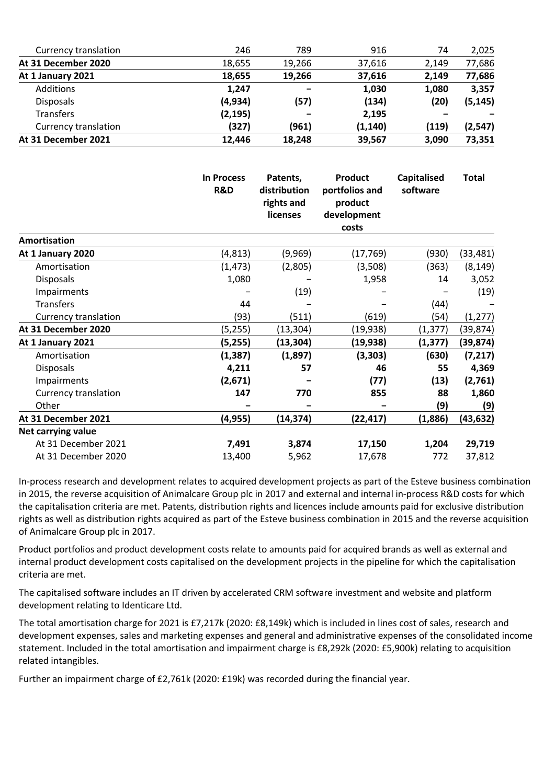| Currency translation | 246      | 789    | 916      | 74    | 2,025    |
|----------------------|----------|--------|----------|-------|----------|
| At 31 December 2020  | 18,655   | 19,266 | 37,616   | 2,149 | 77,686   |
| At 1 January 2021    | 18,655   | 19,266 | 37,616   | 2,149 | 77,686   |
| Additions            | 1,247    | -      | 1,030    | 1,080 | 3,357    |
| <b>Disposals</b>     | (4,934)  | (57)   | (134)    | (20)  | (5, 145) |
| Transfers            | (2, 195) | -      | 2,195    |       |          |
| Currency translation | (327)    | (961)  | (1, 140) | (119) | (2, 547) |
| At 31 December 2021  | 12,446   | 18,248 | 39,567   | 3,090 | 73,351   |

|                      | <b>In Process</b><br>R&D | Patents,<br>distribution<br>rights and<br>licenses | <b>Product</b><br>portfolios and<br>product<br>development<br>costs | <b>Capitalised</b><br>software | <b>Total</b> |
|----------------------|--------------------------|----------------------------------------------------|---------------------------------------------------------------------|--------------------------------|--------------|
| <b>Amortisation</b>  |                          |                                                    |                                                                     |                                |              |
| At 1 January 2020    | (4,813)                  | (9,969)                                            | (17,769)                                                            | (930)                          | (33,481)     |
| Amortisation         | (1, 473)                 | (2,805)                                            | (3,508)                                                             | (363)                          | (8, 149)     |
| Disposals            | 1,080                    |                                                    | 1,958                                                               | 14                             | 3,052        |
| Impairments          |                          | (19)                                               |                                                                     |                                | (19)         |
| <b>Transfers</b>     | 44                       |                                                    |                                                                     | (44)                           |              |
| Currency translation | (93)                     | (511)                                              | (619)                                                               | (54)                           | (1, 277)     |
| At 31 December 2020  | (5,255)                  | (13,304)                                           | (19,938)                                                            | (1, 377)                       | (39,874)     |
| At 1 January 2021    | (5,255)                  | (13, 304)                                          | (19, 938)                                                           | (1, 377)                       | (39, 874)    |
| Amortisation         | (1, 387)                 | (1,897)                                            | (3, 303)                                                            | (630)                          | (7, 217)     |
| <b>Disposals</b>     | 4,211                    | 57                                                 | 46                                                                  | 55                             | 4,369        |
| Impairments          | (2,671)                  |                                                    | (77)                                                                | (13)                           | (2,761)      |
| Currency translation | 147                      | 770                                                | 855                                                                 | 88                             | 1,860        |
| Other                |                          |                                                    |                                                                     | (9)                            | (9)          |
| At 31 December 2021  | (4, 955)                 | (14, 374)                                          | (22, 417)                                                           | (1,886)                        | (43, 632)    |
| Net carrying value   |                          |                                                    |                                                                     |                                |              |
| At 31 December 2021  | 7,491                    | 3,874                                              | 17,150                                                              | 1,204                          | 29,719       |
| At 31 December 2020  | 13,400                   | 5,962                                              | 17,678                                                              | 772                            | 37,812       |

In-process research and development relates to acquired development projects as part of the Esteve business combination in 2015, the reverse acquisition of Animalcare Group plc in 2017 and external and internal in-process R&D costs for which the capitalisation criteria are met. Patents, distribution rights and licences include amounts paid for exclusive distribution rights as well as distribution rights acquired as part of the Esteve business combination in 2015 and the reverse acquisition of Animalcare Group plc in 2017.

Product portfolios and product development costs relate to amounts paid for acquired brands as well as external and internal product development costs capitalised on the development projects in the pipeline for which the capitalisation criteria are met.

The capitalised software includes an IT driven by accelerated CRM software investment and website and platform development relating to Identicare Ltd.

The total amortisation charge for 2021 is £7,217k (2020: £8,149k) which is included in lines cost of sales, research and development expenses, sales and marketing expenses and general and administrative expenses of the consolidated income statement. Included in the total amortisation and impairment charge is £8,292k (2020: £5,900k) relating to acquisition related intangibles.

Further an impairment charge of £2,761k (2020: £19k) was recorded during the financial year.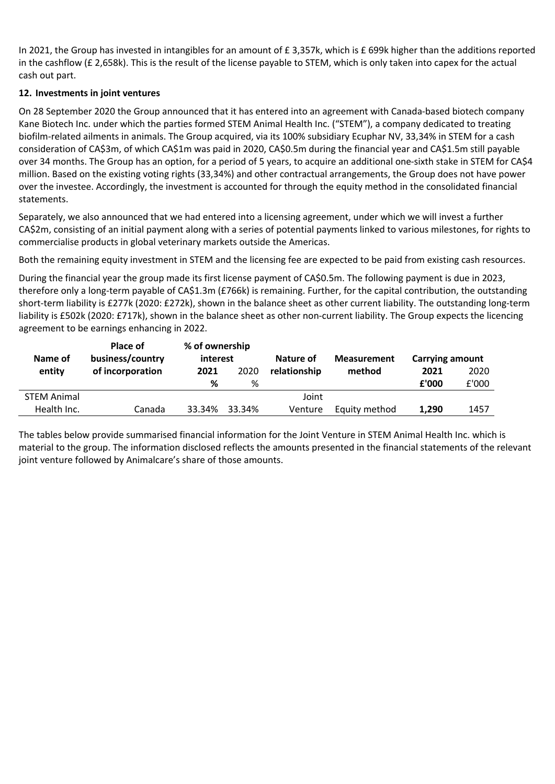In 2021, the Group has invested in intangibles for an amount of £ 3,357k, which is £ 699k higher than the additions reported in the cashflow (£ 2,658k). This is the result of the license payable to STEM, which is only taken into capex for the actual cash out part.

## **12. Investments in joint ventures**

On 28 September 2020 the Group announced that it has entered into an agreement with Canada-based biotech company Kane Biotech Inc. under which the parties formed STEM Animal Health Inc. ("STEM"), a company dedicated to treating biofilm-related ailments in animals. The Group acquired, via its 100% subsidiary Ecuphar NV, 33,34% in STEM for a cash consideration of CA\$3m, of which CA\$1m was paid in 2020, CA\$0.5m during the financial year and CA\$1.5m still payable over 34 months. The Group has an option, for a period of 5 years, to acquire an additional one-sixth stake in STEM for CA\$4 million. Based on the existing voting rights (33,34%) and other contractual arrangements, the Group does not have power over the investee. Accordingly, the investment is accounted for through the equity method in the consolidated financial statements.

Separately, we also announced that we had entered into a licensing agreement, under which we will invest a further CA\$2m, consisting of an initial payment along with a series of potential payments linked to various milestones, for rights to commercialise products in global veterinary markets outside the Americas.

Both the remaining equity investment in STEM and the licensing fee are expected to be paid from existing cash resources.

During the financial year the group made its first license payment of CA\$0.5m. The following payment is due in 2023, therefore only a long-term payable of CA\$1.3m (£766k) is remaining. Further, for the capital contribution, the outstanding short-term liability is £277k (2020: £272k), shown in the balance sheet as other current liability. The outstanding long-term liability is £502k (2020: £717k), shown in the balance sheet as other non-current liability. The Group expects the licencing agreement to be earnings enhancing in 2022.

| Name of            | <b>Place of</b><br>business/country | % of ownership<br>interest |        | Nature of    | <b>Measurement</b> | <b>Carrying amount</b> |       |
|--------------------|-------------------------------------|----------------------------|--------|--------------|--------------------|------------------------|-------|
| entity             | of incorporation                    | 2021                       | 2020   | relationship | method             | 2021                   | 2020  |
|                    |                                     | %                          | %      |              |                    | £'000                  | £'000 |
| <b>STEM Animal</b> |                                     |                            |        | Joint        |                    |                        |       |
| Health Inc.        | Canada                              | 33.34%                     | 33.34% | Venture      | Equity method      | 1,290                  | 1457  |

The tables below provide summarised financial information for the Joint Venture in STEM Animal Health Inc. which is material to the group. The information disclosed reflects the amounts presented in the financial statements of the relevant joint venture followed by Animalcare's share of those amounts.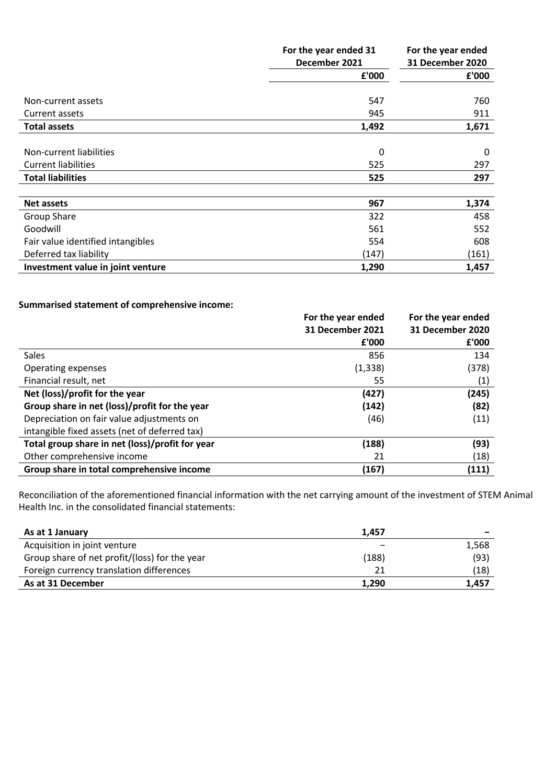|                                   | For the year ended 31 | For the year ended      |
|-----------------------------------|-----------------------|-------------------------|
|                                   | December 2021         | <b>31 December 2020</b> |
|                                   | £'000                 | £'000                   |
|                                   |                       |                         |
| Non-current assets                | 547                   | 760                     |
| Current assets                    | 945                   | 911                     |
| <b>Total assets</b>               | 1,492                 | 1,671                   |
|                                   |                       |                         |
| Non-current liabilities           | 0                     | 0                       |
| <b>Current liabilities</b>        | 525                   | 297                     |
| <b>Total liabilities</b>          | 525                   | 297                     |
|                                   |                       |                         |
| <b>Net assets</b>                 | 967                   | 1,374                   |
| Group Share                       | 322                   | 458                     |
| Goodwill                          | 561                   | 552                     |
| Fair value identified intangibles | 554                   | 608                     |
| Deferred tax liability            | (147)                 | (161)                   |
| Investment value in joint venture | 1,290                 | 1,457                   |

## **Summarised statement of comprehensive income:**

|                                                 | For the year ended<br><b>31 December 2021</b> | For the year ended<br>31 December 2020 |
|-------------------------------------------------|-----------------------------------------------|----------------------------------------|
|                                                 | £'000                                         | £'000                                  |
| Sales                                           | 856                                           | 134                                    |
| Operating expenses                              | (1, 338)                                      | (378)                                  |
| Financial result, net                           | 55                                            | (1)                                    |
| Net (loss)/profit for the year                  | (427)                                         | (245)                                  |
| Group share in net (loss)/profit for the year   | (142)                                         | (82)                                   |
| Depreciation on fair value adjustments on       | (46)                                          | (11)                                   |
| intangible fixed assets (net of deferred tax)   |                                               |                                        |
| Total group share in net (loss)/profit for year | (188)                                         | (93)                                   |
| Other comprehensive income                      | 21                                            | (18)                                   |
| Group share in total comprehensive income       | (167)                                         | (111)                                  |

Reconciliation of the aforementioned financial information with the net carrying amount of the investment of STEM Animal Health Inc. in the consolidated financial statements:

| As at 1 January                               | 1.457 |       |
|-----------------------------------------------|-------|-------|
| Acquisition in joint venture                  |       | 1,568 |
| Group share of net profit/(loss) for the year | (188) | (93)  |
| Foreign currency translation differences      | 21    | (18)  |
| As at 31 December                             | 1.290 | 1.457 |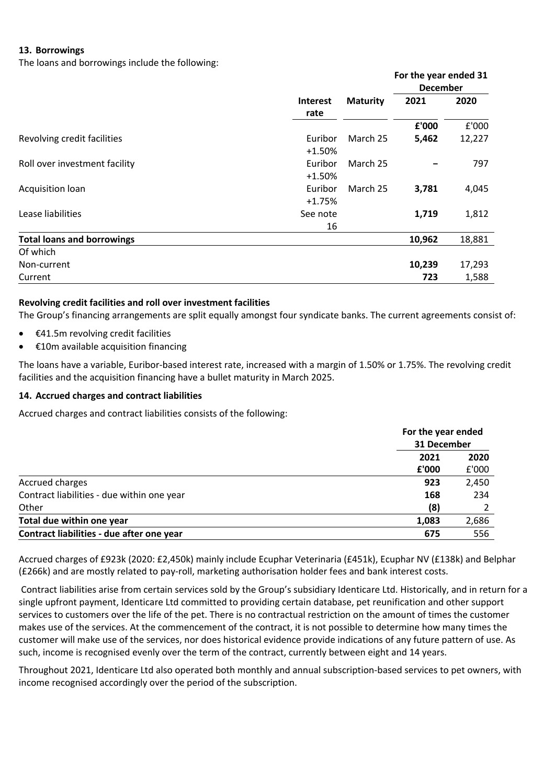## **13. Borrowings**

The loans and borrowings include the following:

|                                   |                 |                 | For the year ended 31 |        |
|-----------------------------------|-----------------|-----------------|-----------------------|--------|
|                                   |                 |                 | <b>December</b>       |        |
|                                   | <b>Interest</b> | <b>Maturity</b> | 2021                  | 2020   |
|                                   | rate            |                 |                       |        |
|                                   |                 |                 | £'000                 | £'000  |
| Revolving credit facilities       | Euribor         | March 25        | 5,462                 | 12,227 |
|                                   | $+1.50%$        |                 |                       |        |
| Roll over investment facility     | Euribor         | March 25        |                       | 797    |
|                                   | $+1.50%$        |                 |                       |        |
| Acquisition loan                  | Euribor         | March 25        | 3,781                 | 4,045  |
|                                   | $+1.75%$        |                 |                       |        |
| Lease liabilities                 | See note        |                 | 1,719                 | 1,812  |
|                                   | 16              |                 |                       |        |
| <b>Total loans and borrowings</b> |                 |                 | 10,962                | 18,881 |
| Of which                          |                 |                 |                       |        |
| Non-current                       |                 |                 | 10,239                | 17,293 |
| Current                           |                 |                 | 723                   | 1,588  |

#### **Revolving credit facilities and roll over investment facilities**

The Group's financing arrangements are split equally amongst four syndicate banks. The current agreements consist of:

- $£41.5m$  revolving credit facilities
- €10m available acquisition financing

The loans have a variable, Euribor-based interest rate, increased with a margin of 1.50% or 1.75%. The revolving credit facilities and the acquisition financing have a bullet maturity in March 2025.

#### **14. Accrued charges and contract liabilities**

Accrued charges and contract liabilities consists of the following:

|                                            | For the year ended<br>31 December |       |
|--------------------------------------------|-----------------------------------|-------|
|                                            | 2021                              | 2020  |
|                                            | £'000                             | £'000 |
| Accrued charges                            | 923                               | 2,450 |
| Contract liabilities - due within one year | 168                               | 234   |
| Other                                      | (8)                               |       |
| Total due within one year                  | 1,083                             | 2,686 |
| Contract liabilities - due after one year  | 675                               | 556   |

Accrued charges of £923k (2020: £2,450k) mainly include Ecuphar Veterinaria (£451k), Ecuphar NV (£138k) and Belphar (£266k) and are mostly related to pay-roll, marketing authorisation holder fees and bank interest costs.

Contract liabilities arise from certain services sold by the Group's subsidiary Identicare Ltd. Historically, and in return for a single upfront payment, Identicare Ltd committed to providing certain database, pet reunification and other support services to customers over the life of the pet. There is no contractual restriction on the amount of times the customer makes use of the services. At the commencement of the contract, it is not possible to determine how many times the customer will make use of the services, nor does historical evidence provide indications of any future pattern of use. As such, income is recognised evenly over the term of the contract, currently between eight and 14 years.

Throughout 2021, Identicare Ltd also operated both monthly and annual subscription-based services to pet owners, with income recognised accordingly over the period of the subscription.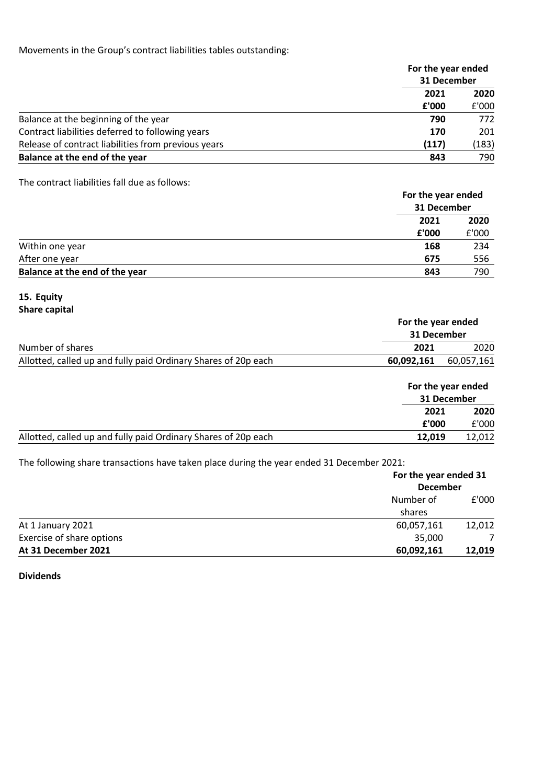Movements in the Group's contract liabilities tables outstanding:

|                                                     | For the year ended<br>31 December |       |
|-----------------------------------------------------|-----------------------------------|-------|
|                                                     |                                   |       |
|                                                     | 2021<br>£'000                     | 2020  |
|                                                     |                                   | £'000 |
| Balance at the beginning of the year                | 790                               | 772   |
| Contract liabilities deferred to following years    | 170                               | 201   |
| Release of contract liabilities from previous years | (117)                             | (183) |
| Balance at the end of the year                      | 843                               | 790   |

The contract liabilities fall due as follows:

|                                | For the year ended<br>31 December |       |
|--------------------------------|-----------------------------------|-------|
|                                | 2021                              | 2020  |
|                                | £'000                             | £'000 |
| Within one year                | 168                               | 234   |
| After one year                 | 675                               | 556   |
| Balance at the end of the year | 843                               | 790   |

# **15. Equity**

|                                                                |            | For the year ended<br>31 December |  |  |
|----------------------------------------------------------------|------------|-----------------------------------|--|--|
|                                                                |            |                                   |  |  |
| Number of shares                                               | 2021       | 2020                              |  |  |
| Allotted, called up and fully paid Ordinary Shares of 20p each | 60.092.161 | 60,057,161                        |  |  |
|                                                                |            |                                   |  |  |

|                                                                | For the year ended<br>31 December |        |
|----------------------------------------------------------------|-----------------------------------|--------|
|                                                                | 2021                              | 2020   |
|                                                                | £'000                             | £'000  |
| Allotted, called up and fully paid Ordinary Shares of 20p each | 12.019                            | 12.012 |

The following share transactions have taken place during the year ended 31 December 2021:

|                           | For the year ended 31<br><b>December</b> |        |
|---------------------------|------------------------------------------|--------|
|                           |                                          |        |
|                           | Number of                                | £'000  |
|                           | shares                                   |        |
| At 1 January 2021         | 60,057,161                               | 12,012 |
| Exercise of share options | 35,000                                   |        |
| At 31 December 2021       | 60,092,161                               | 12,019 |

**Dividends**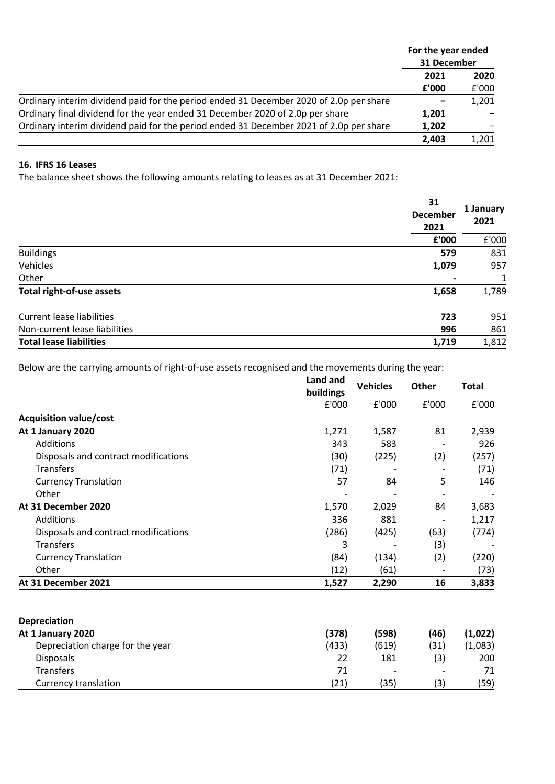|                                                                                        | For the year ended<br>31 December |       |
|----------------------------------------------------------------------------------------|-----------------------------------|-------|
|                                                                                        | 2021                              | 2020  |
|                                                                                        | £'000                             | £'000 |
| Ordinary interim dividend paid for the period ended 31 December 2020 of 2.0p per share |                                   | 1,201 |
| Ordinary final dividend for the year ended 31 December 2020 of 2.0p per share          | 1,201                             |       |
| Ordinary interim dividend paid for the period ended 31 December 2021 of 2.0p per share | 1,202                             |       |
|                                                                                        | 2.403                             | 1,201 |

## **16. IFRS 16 Leases**

The balance sheet shows the following amounts relating to leases as at 31 December 2021:

| 31                             | 1 January<br><b>December</b><br>2021 |       |
|--------------------------------|--------------------------------------|-------|
|                                | £'000                                | £'000 |
| <b>Buildings</b>               | 579                                  | 831   |
| Vehicles                       | 1,079                                | 957   |
| Other                          |                                      | 1     |
| Total right-of-use assets      | 1,658                                | 1,789 |
| Current lease liabilities      | 723                                  | 951   |
| Non-current lease liabilities  | 996                                  | 861   |
| <b>Total lease liabilities</b> | 1,719                                | 1,812 |

Below are the carrying amounts of right-of-use assets recognised and the movements during the year:

|                                      | Land and<br>buildings | <b>Vehicles</b> | Other | Total   |
|--------------------------------------|-----------------------|-----------------|-------|---------|
|                                      | £'000                 | £'000           | E'000 | £'000   |
| <b>Acquisition value/cost</b>        |                       |                 |       |         |
| At 1 January 2020                    | 1,271                 | 1,587           | 81    | 2,939   |
| Additions                            | 343                   | 583             |       | 926     |
| Disposals and contract modifications | (30)                  | (225)           | (2)   | (257)   |
| <b>Transfers</b>                     | (71)                  |                 |       | (71)    |
| <b>Currency Translation</b>          | 57                    | 84              | 5     | 146     |
| Other                                |                       |                 |       |         |
| At 31 December 2020                  | 1,570                 | 2,029           | 84    | 3,683   |
| Additions                            | 336                   | 881             |       | 1,217   |
| Disposals and contract modifications | (286)                 | (425)           | (63)  | (774)   |
| <b>Transfers</b>                     | 3                     |                 | (3)   |         |
| <b>Currency Translation</b>          | (84)                  | (134)           | (2)   | (220)   |
| Other                                | (12)                  | (61)            |       | (73)    |
| At 31 December 2021                  | 1,527                 | 2,290           | 16    | 3,833   |
| Depreciation                         |                       |                 |       |         |
| At 1 January 2020                    | (378)                 | (598)           | (46)  | (1,022) |
| Depreciation charge for the year     | (433)                 | (619)           | (31)  | (1,083) |

Disposals 22 181 (3) 200  $\frac{1}{2}$   $\frac{1}{2}$   $\frac{1}{2}$   $\frac{1}{2}$   $\frac{1}{2}$   $\frac{1}{2}$   $\frac{1}{2}$   $\frac{1}{2}$   $\frac{1}{2}$   $\frac{1}{2}$   $\frac{1}{2}$   $\frac{1}{2}$   $\frac{1}{2}$   $\frac{1}{2}$   $\frac{1}{2}$   $\frac{1}{2}$   $\frac{1}{2}$   $\frac{1}{2}$   $\frac{1}{2}$   $\frac{1}{2}$   $\frac{1}{2}$   $\frac{1}{2}$  Currency translation (21) (35) (3) (59)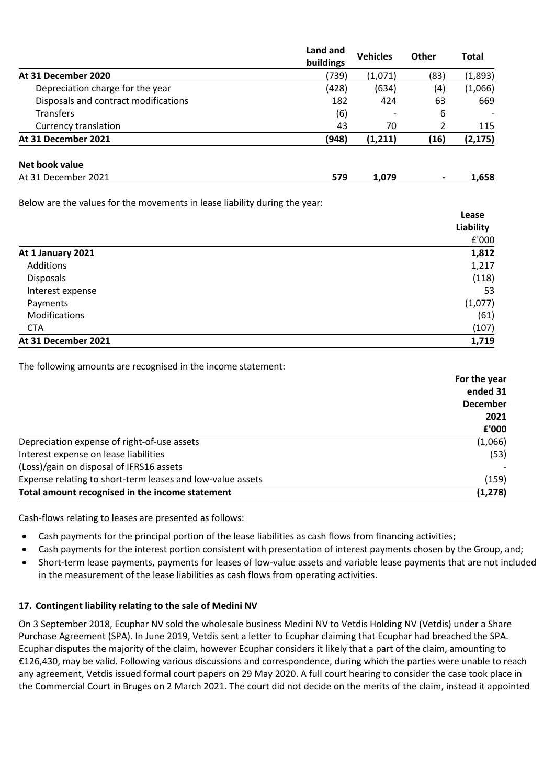|                                      | Land and<br>buildings | <b>Vehicles</b> | Other                    | <b>Total</b> |
|--------------------------------------|-----------------------|-----------------|--------------------------|--------------|
| At 31 December 2020                  | (739)                 | (1,071)         | (83)                     | (1,893)      |
| Depreciation charge for the year     | (428)                 | (634)           | (4)                      | (1,066)      |
| Disposals and contract modifications | 182                   | 424             | 63                       | 669          |
| <b>Transfers</b>                     | (6)                   |                 | 6                        |              |
| Currency translation                 | 43                    | 70              | 2                        | 115          |
| At 31 December 2021                  | (948)                 | (1, 211)        | (16)                     | (2, 175)     |
| Net book value                       |                       |                 |                          |              |
| At 31 December 2021                  | 579                   | 1,079           | $\overline{\phantom{a}}$ | 1,658        |

Below are the values for the movements in lease liability during the year:

|                     | rease     |
|---------------------|-----------|
|                     | Liability |
|                     | £'000     |
| At 1 January 2021   | 1,812     |
| Additions           | 1,217     |
| <b>Disposals</b>    | (118)     |
| Interest expense    | 53        |
| Payments            | (1,077)   |
| Modifications       | (61)      |
| <b>CTA</b>          | (107)     |
| At 31 December 2021 | 1,719     |

**Lease** 

The following amounts are recognised in the income statement:

|                                                            | For the year    |
|------------------------------------------------------------|-----------------|
|                                                            | ended 31        |
|                                                            | <b>December</b> |
|                                                            | 2021            |
|                                                            | £'000           |
| Depreciation expense of right-of-use assets                | (1,066)         |
| Interest expense on lease liabilities                      | (53)            |
| (Loss)/gain on disposal of IFRS16 assets                   |                 |
| Expense relating to short-term leases and low-value assets | (159)           |
| Total amount recognised in the income statement            | (1, 278)        |

Cash-flows relating to leases are presented as follows:

- Cash payments for the principal portion of the lease liabilities as cash flows from financing activities;
- Cash payments for the interest portion consistent with presentation of interest payments chosen by the Group, and;
- Short-term lease payments, payments for leases of low-value assets and variable lease payments that are not included in the measurement of the lease liabilities as cash flows from operating activities.

## **17. Contingent liability relating to the sale of Medini NV**

On 3 September 2018, Ecuphar NV sold the wholesale business Medini NV to Vetdis Holding NV (Vetdis) under a Share Purchase Agreement (SPA). In June 2019, Vetdis sent a letter to Ecuphar claiming that Ecuphar had breached the SPA. Ecuphar disputes the majority of the claim, however Ecuphar considers it likely that a part of the claim, amounting to €126,430, may be valid. Following various discussions and correspondence, during which the parties were unable to reach any agreement, Vetdis issued formal court papers on 29 May 2020. A full court hearing to consider the case took place in the Commercial Court in Bruges on 2 March 2021. The court did not decide on the merits of the claim, instead it appointed